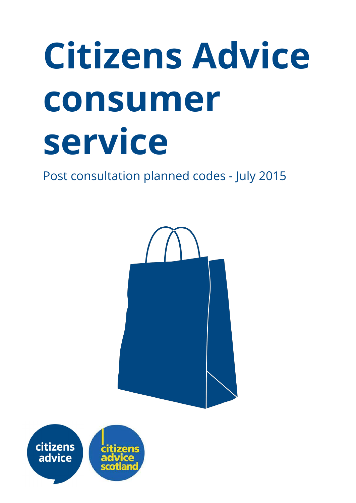# **Citizens Advice consumer service**

Post consultation planned codes - July 2015



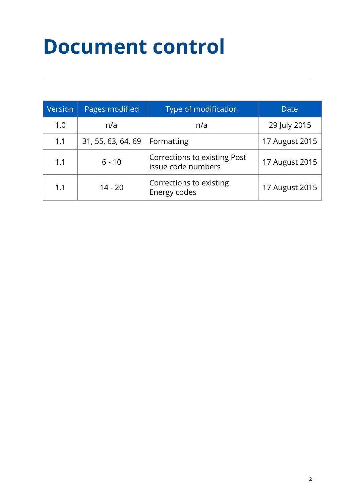### **Document control**

| Version | Pages modified     | Type of modification                                      | Date           |
|---------|--------------------|-----------------------------------------------------------|----------------|
| 1.0     | n/a                | n/a                                                       | 29 July 2015   |
| 1.1     | 31, 55, 63, 64, 69 | Formatting                                                | 17 August 2015 |
| 1.1     | $6 - 10$           | <b>Corrections to existing Post</b><br>issue code numbers | 17 August 2015 |
| 1.1     | $14 - 20$          | Corrections to existing<br>Energy codes                   | 17 August 2015 |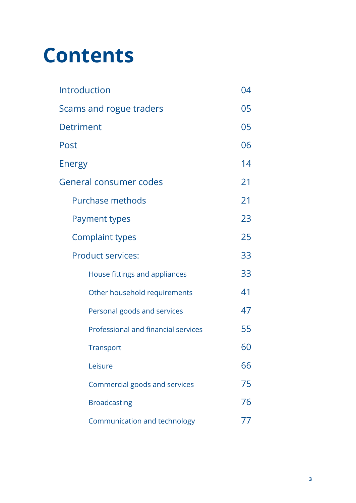### **Contents**

| Introduction                        | 04 |
|-------------------------------------|----|
| Scams and rogue traders             | 05 |
| <b>Detriment</b>                    | 05 |
| Post                                | 06 |
| Energy                              | 14 |
| General consumer codes              | 21 |
| Purchase methods                    | 21 |
| <b>Payment types</b>                | 23 |
| <b>Complaint types</b>              | 25 |
| <b>Product services:</b>            | 33 |
| House fittings and appliances       | 33 |
| Other household requirements        | 41 |
| Personal goods and services         | 47 |
| Professional and financial services | 55 |
| <b>Transport</b>                    | 60 |
| Leisure                             | 66 |
| Commercial goods and services       | 75 |
| <b>Broadcasting</b>                 | 76 |
| Communication and technology        | 77 |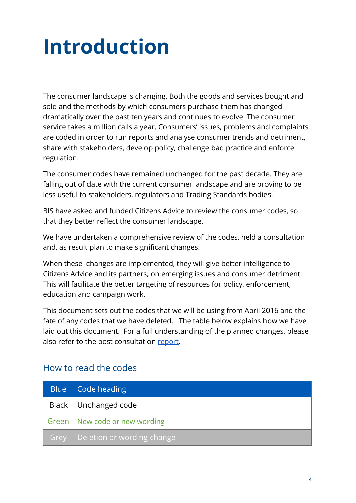# <span id="page-3-0"></span>**Introduction**

The consumer landscape is changing. Both the goods and services bought and sold and the methods by which consumers purchase them has changed dramatically over the past ten years and continues to evolve. The consumer service takes a million calls a year. Consumers' issues, problems and complaints are coded in order to run reports and analyse consumer trends and detriment, share with stakeholders, develop policy, challenge bad practice and enforce regulation.

The consumer codes have remained unchanged for the past decade. They are falling out of date with the current consumer landscape and are proving to be less useful to stakeholders, regulators and Trading Standards bodies.

BIS have asked and funded Citizens Advice to review the consumer codes, so that they better reflect the consumer landscape.

We have undertaken a comprehensive review of the codes, held a consultation and, as result plan to make significant changes.

When these changes are implemented, they will give better intelligence to Citizens Advice and its partners, on emerging issues and consumer detriment. This will facilitate the better targeting of resources for policy, enforcement, education and campaign work.

This document sets out the codes that we will be using from April 2016 and the fate of any codes that we have deleted. The table below explains how we have laid out this document. For a full understanding of the planned changes, please also refer to the post consultation [report.](http://www.citizensadvice.org.uk/consumer-codes-review-post-consultation-report-and-planned-codes/)

| <b>Blue</b> | Code heading                           |
|-------------|----------------------------------------|
|             | Black   Unchanged code                 |
|             | Green   New code or new wording        |
|             | Grey <b>Deletion or wording change</b> |

#### How to read the codes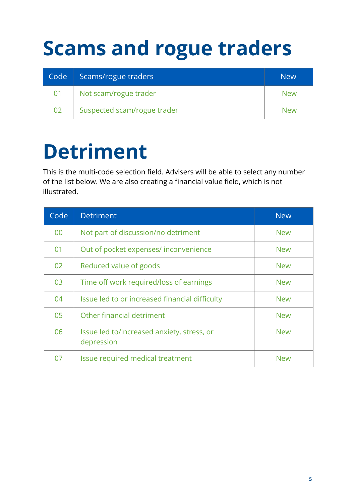### <span id="page-4-0"></span>**Scams and rogue traders**

| Code | Scams/rogue traders         | <b>New</b> |
|------|-----------------------------|------------|
| 01   | Not scam/rogue trader       | <b>New</b> |
| 02   | Suspected scam/rogue trader | <b>New</b> |

### <span id="page-4-1"></span>**Detriment**

This is the multi-code selection field. Advisers will be able to select any number of the list below. We are also creating a financial value field, which is not illustrated.

| Code | <b>Detriment</b>                                         | <b>New</b> |
|------|----------------------------------------------------------|------------|
| 00   | Not part of discussion/no detriment                      | <b>New</b> |
| 01   | Out of pocket expenses/ inconvenience                    | <b>New</b> |
| 02   | Reduced value of goods                                   | <b>New</b> |
| 03   | Time off work required/loss of earnings                  | <b>New</b> |
| 04   | Issue led to or increased financial difficulty           | <b>New</b> |
| 05   | Other financial detriment                                | <b>New</b> |
| 06   | Issue led to/increased anxiety, stress, or<br>depression | <b>New</b> |
| 07   | Issue required medical treatment                         | New        |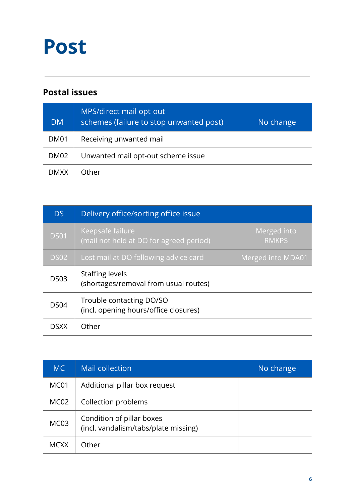### <span id="page-5-0"></span>**Post**

#### **Postal issues**

| DM.         | MPS/direct mail opt-out<br>schemes (failure to stop unwanted post) | No change |
|-------------|--------------------------------------------------------------------|-----------|
| <b>DM01</b> | Receiving unwanted mail                                            |           |
| <b>DM02</b> | Unwanted mail opt-out scheme issue                                 |           |
| <b>DMXX</b> | Other                                                              |           |

| <b>DS</b>   | Delivery office/sorting office issue                              |                             |
|-------------|-------------------------------------------------------------------|-----------------------------|
| <b>DS01</b> | Keepsafe failure<br>(mail not held at DO for agreed period)       | Merged into<br><b>RMKPS</b> |
| <b>DS02</b> | Lost mail at DO following advice card                             | Merged into MDA01           |
| <b>DS03</b> | <b>Staffing levels</b><br>(shortages/removal from usual routes)   |                             |
| <b>DS04</b> | Trouble contacting DO/SO<br>(incl. opening hours/office closures) |                             |
| <b>DSXX</b> | Other                                                             |                             |

| MC.              | Mail collection                                                   | No change |
|------------------|-------------------------------------------------------------------|-----------|
| MC01             | Additional pillar box request                                     |           |
| MC <sub>02</sub> | Collection problems                                               |           |
| MC <sub>03</sub> | Condition of pillar boxes<br>(incl. vandalism/tabs/plate missing) |           |
| <b>MCXX</b>      | Other                                                             |           |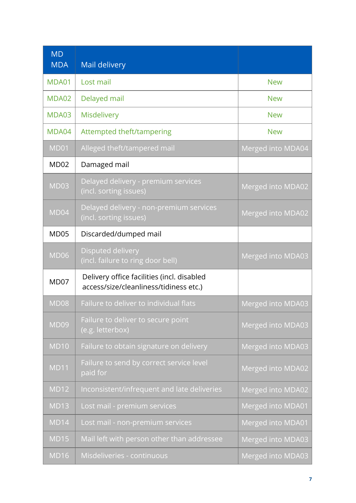| <b>MD</b><br><b>MDA</b> | Mail delivery                                                                        |                   |
|-------------------------|--------------------------------------------------------------------------------------|-------------------|
| MDA01                   | Lost mail                                                                            | <b>New</b>        |
| MDA02                   | Delayed mail                                                                         | <b>New</b>        |
| MDA03                   | <b>Misdelivery</b>                                                                   | <b>New</b>        |
| MDA04                   | Attempted theft/tampering                                                            | <b>New</b>        |
| MD01                    | Alleged theft/tampered mail                                                          | Merged into MDA04 |
| MD <sub>02</sub>        | Damaged mail                                                                         |                   |
| <b>MD03</b>             | Delayed delivery - premium services<br>(incl. sorting issues)                        | Merged into MDA02 |
| MD04                    | Delayed delivery - non-premium services<br>(incl. sorting issues)                    | Merged into MDA02 |
| MD <sub>05</sub>        | Discarded/dumped mail                                                                |                   |
| <b>MD06</b>             | Disputed delivery<br>(incl. failure to ring door bell)                               | Merged into MDA03 |
| MD <sub>07</sub>        | Delivery office facilities (incl. disabled<br>access/size/cleanliness/tidiness etc.) |                   |
| MD08                    | Failure to deliver to individual flats                                               | Merged into MDA03 |
| <b>MD09</b>             | Failure to deliver to secure point<br>(e.g. letterbox)                               | Merged into MDA03 |
| <b>MD10</b>             | Failure to obtain signature on delivery                                              | Merged into MDA03 |
| <b>MD11</b>             | Failure to send by correct service level<br>paid for                                 | Merged into MDA02 |
| MD12                    | Inconsistent/infrequent and late deliveries                                          | Merged into MDA02 |
| <b>MD13</b>             | Lost mail - premium services                                                         | Merged into MDA01 |
| MD14                    | Lost mail - non-premium services                                                     | Merged into MDA01 |
| <b>MD15</b>             | Mail left with person other than addressee                                           | Merged into MDA03 |
| <b>MD16</b>             | Misdeliveries - continuous                                                           | Merged into MDA03 |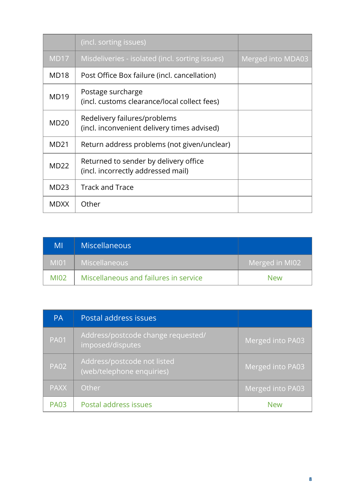|                  | (incl. sorting issues)                                                      |                   |
|------------------|-----------------------------------------------------------------------------|-------------------|
| MD <sub>17</sub> | Misdeliveries - isolated (incl. sorting issues)                             | Merged into MDA03 |
| MD <sub>18</sub> | Post Office Box failure (incl. cancellation)                                |                   |
| <b>MD19</b>      | Postage surcharge<br>(incl. customs clearance/local collect fees)           |                   |
| <b>MD20</b>      | Redelivery failures/problems<br>(incl. inconvenient delivery times advised) |                   |
| <b>MD21</b>      | Return address problems (not given/unclear)                                 |                   |
| <b>MD22</b>      | Returned to sender by delivery office<br>(incl. incorrectly addressed mail) |                   |
| <b>MD23</b>      | <b>Track and Trace</b>                                                      |                   |
| <b>MDXX</b>      | Other                                                                       |                   |

| MI          | <b>Miscellaneous</b>                  |                |
|-------------|---------------------------------------|----------------|
| MI01        | <b>Miscellaneous</b>                  | Merged in MI02 |
| <b>MI02</b> | Miscellaneous and failures in service | <b>New</b>     |

| <b>PA</b>   | Postal address issues                                    |                  |
|-------------|----------------------------------------------------------|------------------|
| <b>PA01</b> | Address/postcode change requested/<br>imposed/disputes   | Merged into PA03 |
| <b>PA02</b> | Address/postcode not listed<br>(web/telephone enquiries) | Merged into PA03 |
| <b>PAXX</b> | Other                                                    | Merged into PA03 |
| <b>PA03</b> | Postal address issues                                    | <b>New</b>       |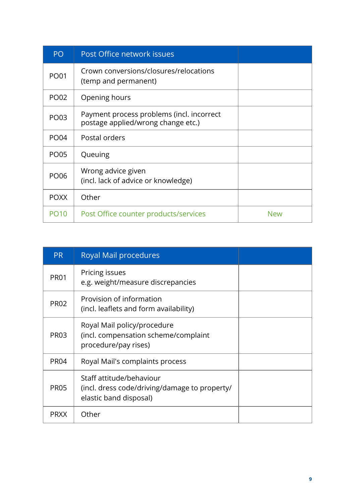| PO          | Post Office network issues                                                      |            |
|-------------|---------------------------------------------------------------------------------|------------|
| <b>PO01</b> | Crown conversions/closures/relocations<br>(temp and permanent)                  |            |
| <b>PO02</b> | Opening hours                                                                   |            |
| PO03        | Payment process problems (incl. incorrect<br>postage applied/wrong change etc.) |            |
| <b>PO04</b> | Postal orders                                                                   |            |
| <b>PO05</b> | Queuing                                                                         |            |
| PO06        | Wrong advice given<br>(incl. lack of advice or knowledge)                       |            |
| <b>POXX</b> | Other                                                                           |            |
| <b>PO10</b> | Post Office counter products/services                                           | <b>New</b> |

| <b>PR</b>   | <b>Royal Mail procedures</b>                                                                        |  |
|-------------|-----------------------------------------------------------------------------------------------------|--|
| <b>PR01</b> | Pricing issues<br>e.g. weight/measure discrepancies                                                 |  |
| <b>PR02</b> | Provision of information<br>(incl. leaflets and form availability)                                  |  |
| <b>PR03</b> | Royal Mail policy/procedure<br>(incl. compensation scheme/complaint<br>procedure/pay rises)         |  |
| <b>PR04</b> | Royal Mail's complaints process                                                                     |  |
| <b>PR05</b> | Staff attitude/behaviour<br>(incl. dress code/driving/damage to property/<br>elastic band disposal) |  |
| <b>PRXX</b> | Other                                                                                               |  |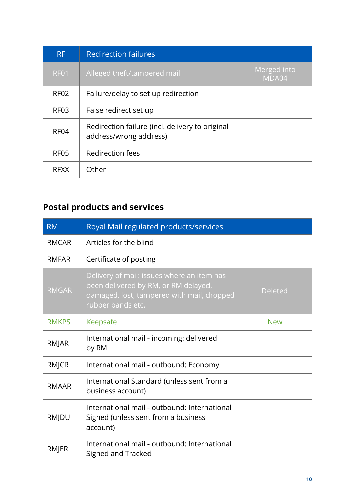| <b>RF</b>        | <b>Redirection failures</b>                                               |                      |
|------------------|---------------------------------------------------------------------------|----------------------|
| RF <sub>01</sub> | Alleged theft/tampered mail                                               | Merged into<br>MDA04 |
| RF <sub>02</sub> | Failure/delay to set up redirection                                       |                      |
| RF <sub>03</sub> | False redirect set up                                                     |                      |
| RF <sub>04</sub> | Redirection failure (incl. delivery to original<br>address/wrong address) |                      |
| RF <sub>05</sub> | Redirection fees                                                          |                      |
| <b>RFXX</b>      | Other                                                                     |                      |

#### **Postal products and services**

| <b>RM</b>    | Royal Mail regulated products/services                                                                                                                |                |
|--------------|-------------------------------------------------------------------------------------------------------------------------------------------------------|----------------|
| <b>RMCAR</b> | Articles for the blind                                                                                                                                |                |
| <b>RMFAR</b> | Certificate of posting                                                                                                                                |                |
| <b>RMGAR</b> | Delivery of mail: issues where an item has<br>been delivered by RM, or RM delayed,<br>damaged, lost, tampered with mail, dropped<br>rubber bands etc. | <b>Deleted</b> |
| <b>RMKPS</b> | Keepsafe                                                                                                                                              | <b>New</b>     |
| RMJAR        | International mail - incoming: delivered<br>by RM                                                                                                     |                |
| RMJCR        | International mail - outbound: Economy                                                                                                                |                |
| <b>RMAAR</b> | International Standard (unless sent from a<br>business account)                                                                                       |                |
| <b>RMJDU</b> | International mail - outbound: International<br>Signed (unless sent from a business<br>account)                                                       |                |
| RMJER        | International mail - outbound: International<br>Signed and Tracked                                                                                    |                |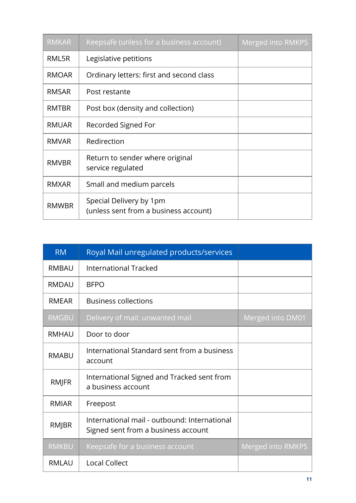| <b>RMKAR</b> | Keepsafe (unless for a business account)                         | Merged into RMKPS |
|--------------|------------------------------------------------------------------|-------------------|
| RML5R        | Legislative petitions                                            |                   |
| <b>RMOAR</b> | Ordinary letters: first and second class                         |                   |
| <b>RMSAR</b> | Post restante                                                    |                   |
| <b>RMTBR</b> | Post box (density and collection)                                |                   |
| <b>RMUAR</b> | Recorded Signed For                                              |                   |
| <b>RMVAR</b> | Redirection                                                      |                   |
| <b>RMVBR</b> | Return to sender where original<br>service regulated             |                   |
| <b>RMXAR</b> | Small and medium parcels                                         |                   |
| <b>RMWBR</b> | Special Delivery by 1pm<br>(unless sent from a business account) |                   |

| <b>RM</b>    | Royal Mail unregulated products/services                                            |                   |
|--------------|-------------------------------------------------------------------------------------|-------------------|
| <b>RMBAU</b> | <b>International Tracked</b>                                                        |                   |
| <b>RMDAU</b> | <b>BFPO</b>                                                                         |                   |
| <b>RMEAR</b> | <b>Business collections</b>                                                         |                   |
| <b>RMGBU</b> | Delivery of mail: unwanted mail                                                     | Merged into DM01  |
| <b>RMHAU</b> | Door to door                                                                        |                   |
| <b>RMABU</b> | International Standard sent from a business<br>account                              |                   |
| RMJFR        | International Signed and Tracked sent from<br>a business account                    |                   |
| <b>RMIAR</b> | Freepost                                                                            |                   |
| RMJBR        | International mail - outbound: International<br>Signed sent from a business account |                   |
| <b>RMKBU</b> | Keepsafe for a business account                                                     | Merged into RMKPS |
| <b>RMLAU</b> | <b>Local Collect</b>                                                                |                   |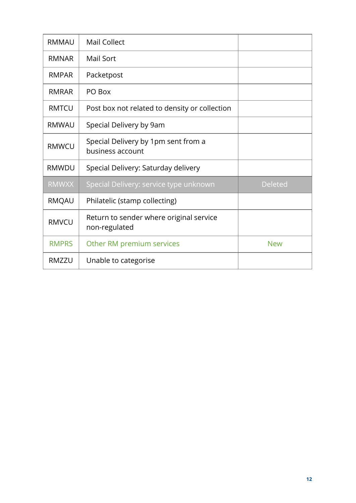| <b>RMMAU</b> | <b>Mail Collect</b>                                      |                |
|--------------|----------------------------------------------------------|----------------|
| <b>RMNAR</b> | Mail Sort                                                |                |
| <b>RMPAR</b> | Packetpost                                               |                |
| <b>RMRAR</b> | PO Box                                                   |                |
| <b>RMTCU</b> | Post box not related to density or collection            |                |
| <b>RMWAU</b> | Special Delivery by 9am                                  |                |
| <b>RMWCU</b> | Special Delivery by 1pm sent from a<br>business account  |                |
| <b>RMWDU</b> | Special Delivery: Saturday delivery                      |                |
| <b>RMWXX</b> | Special Delivery: service type unknown                   | <b>Deleted</b> |
| RMQAU        | Philatelic (stamp collecting)                            |                |
| <b>RMVCU</b> | Return to sender where original service<br>non-regulated |                |
| <b>RMPRS</b> | Other RM premium services                                | <b>New</b>     |
| RMZZU        | Unable to categorise                                     |                |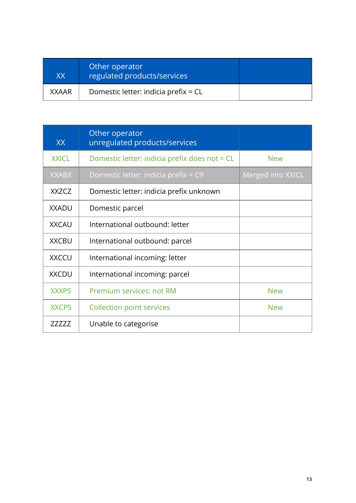| XX.          | Other operator<br>regulated products/services |  |
|--------------|-----------------------------------------------|--|
| <b>XXAAR</b> | Domestic letter: indicia prefix = CL          |  |

| <b>XX</b>    | Other operator<br>unregulated products/services |                   |
|--------------|-------------------------------------------------|-------------------|
| <b>XXICL</b> | Domestic letter: indicia prefix does not = CL   | <b>New</b>        |
| <b>XXABX</b> | Domestic letter: indicia prefix = C9            | Merged into XXICL |
| <b>XXZCZ</b> | Domestic letter: indicia prefix unknown         |                   |
| <b>XXADU</b> | Domestic parcel                                 |                   |
| <b>XXCAU</b> | International outbound: letter                  |                   |
| <b>XXCBU</b> | International outbound: parcel                  |                   |
| <b>XXCCU</b> | International incoming: letter                  |                   |
| <b>XXCDU</b> | International incoming: parcel                  |                   |
| <b>XXXPS</b> | Premium services: not RM                        | <b>New</b>        |
| <b>XXCPS</b> | <b>Collection point services</b>                | <b>New</b>        |
| 77777        | Unable to categorise                            |                   |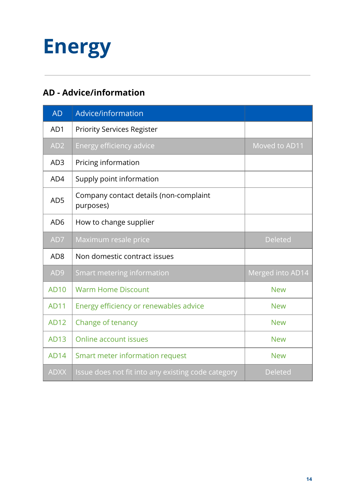# <span id="page-13-0"></span>**Energy**

#### **AD - Advice/information**

| <b>AD</b>       | Advice/information                                  |                  |
|-----------------|-----------------------------------------------------|------------------|
| AD1             | <b>Priority Services Register</b>                   |                  |
| AD <sub>2</sub> | Energy efficiency advice                            | Moved to AD11    |
| AD3             | Pricing information                                 |                  |
| AD4             | Supply point information                            |                  |
| AD <sub>5</sub> | Company contact details (non-complaint<br>purposes) |                  |
| AD <sub>6</sub> | How to change supplier                              |                  |
| AD7             | Maximum resale price                                | <b>Deleted</b>   |
| AD <sub>8</sub> | Non domestic contract issues                        |                  |
| AD <sub>9</sub> | Smart metering information                          | Merged into AD14 |
| <b>AD10</b>     | <b>Warm Home Discount</b>                           | <b>New</b>       |
| <b>AD11</b>     | Energy efficiency or renewables advice              | <b>New</b>       |
| <b>AD12</b>     | Change of tenancy                                   | <b>New</b>       |
| <b>AD13</b>     | <b>Online account issues</b>                        | <b>New</b>       |
| <b>AD14</b>     | Smart meter information request                     | <b>New</b>       |
| <b>ADXX</b>     | Issue does not fit into any existing code category  | <b>Deleted</b>   |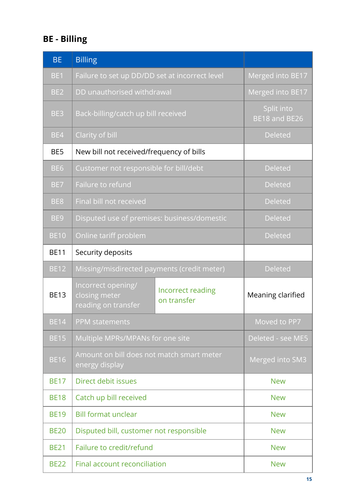#### **BE - Billing**

| <b>BE</b>       | <b>Billing</b>                                              |                                  |                             |
|-----------------|-------------------------------------------------------------|----------------------------------|-----------------------------|
| BE1             | Failure to set up DD/DD set at incorrect level              |                                  | Merged into BE17            |
| BE <sub>2</sub> | DD unauthorised withdrawal                                  |                                  | Merged into BE17            |
| BE3             | Back-billing/catch up bill received                         |                                  | Split into<br>BE18 and BE26 |
| BE4             | Clarity of bill                                             |                                  | <b>Deleted</b>              |
| BE5             | New bill not received/frequency of bills                    |                                  |                             |
| BE <sub>6</sub> | Customer not responsible for bill/debt                      |                                  | <b>Deleted</b>              |
| BE7             | Failure to refund                                           |                                  | <b>Deleted</b>              |
| BE <sub>8</sub> | Final bill not received                                     |                                  | <b>Deleted</b>              |
| BE <sub>9</sub> | Disputed use of premises: business/domestic                 |                                  | <b>Deleted</b>              |
| <b>BE10</b>     | Online tariff problem                                       |                                  | <b>Deleted</b>              |
| <b>BE11</b>     | Security deposits                                           |                                  |                             |
|                 | Missing/misdirected payments (credit meter)                 |                                  |                             |
| <b>BE12</b>     |                                                             |                                  | <b>Deleted</b>              |
| <b>BE13</b>     | Incorrect opening/<br>closing meter<br>reading on transfer  | Incorrect reading<br>on transfer | Meaning clarified           |
| <b>BE14</b>     | <b>PPM</b> statements                                       |                                  | Moved to PP7                |
| <b>BE15</b>     | Multiple MPRs/MPANs for one site                            |                                  | Deleted - see ME5           |
| <b>BE16</b>     | Amount on bill does not match smart meter<br>energy display |                                  | Merged into SM3             |
| <b>BE17</b>     | Direct debit issues                                         |                                  | <b>New</b>                  |
| <b>BE18</b>     | Catch up bill received                                      |                                  | <b>New</b>                  |
| <b>BE19</b>     | <b>Bill format unclear</b>                                  |                                  | <b>New</b>                  |
| <b>BE20</b>     | Disputed bill, customer not responsible                     |                                  | <b>New</b>                  |
| <b>BE21</b>     | Failure to credit/refund                                    |                                  | <b>New</b>                  |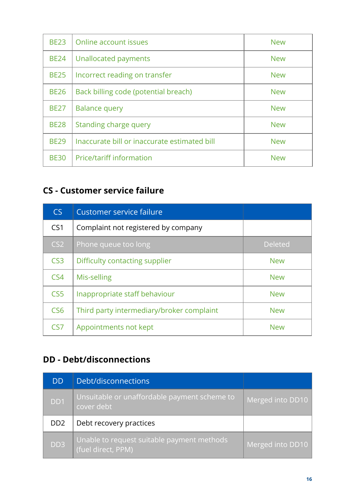| <b>BE23</b> | Online account issues                        | <b>New</b> |
|-------------|----------------------------------------------|------------|
| <b>BE24</b> | Unallocated payments                         | <b>New</b> |
| <b>BE25</b> | Incorrect reading on transfer                | <b>New</b> |
| <b>BE26</b> | Back billing code (potential breach)         | <b>New</b> |
| <b>BE27</b> | <b>Balance query</b>                         | <b>New</b> |
| <b>BE28</b> | Standing charge query                        | <b>New</b> |
| <b>BE29</b> | Inaccurate bill or inaccurate estimated bill | <b>New</b> |
| <b>BE30</b> | <b>Price/tariff information</b>              | <b>New</b> |

#### **CS - Customer service failure**

| CS              | Customer service failure                  |                |
|-----------------|-------------------------------------------|----------------|
| CS <sub>1</sub> | Complaint not registered by company       |                |
| CS <sub>2</sub> | Phone queue too long                      | <b>Deleted</b> |
| CS <sub>3</sub> | Difficulty contacting supplier            | <b>New</b>     |
| CS <sub>4</sub> | Mis-selling                               | <b>New</b>     |
| CS <sub>5</sub> | Inappropriate staff behaviour             | <b>New</b>     |
| CS <sub>6</sub> | Third party intermediary/broker complaint | <b>New</b>     |
| CS7             | Appointments not kept                     | <b>New</b>     |

#### **DD - Debt/disconnections**

| <b>DD</b>                   | Debt/disconnections                                              |                  |
|-----------------------------|------------------------------------------------------------------|------------------|
| DD1                         | Unsuitable or unaffordable payment scheme to<br>cover debt l     | Merged into DD10 |
| D <sub>D</sub> <sub>2</sub> | Debt recovery practices                                          |                  |
| DD <sub>3</sub>             | Unable to request suitable payment methods<br>(fuel direct, PPM) | Merged into DD10 |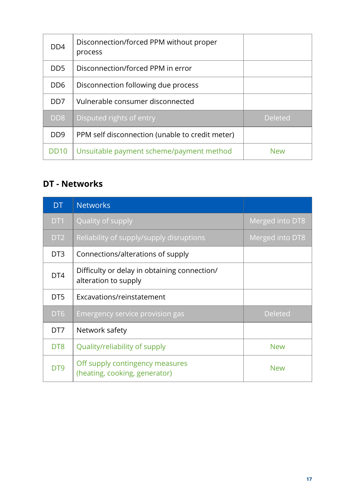| D <sub>D</sub> <sub>4</sub> | Disconnection/forced PPM without proper<br>process |                |
|-----------------------------|----------------------------------------------------|----------------|
| D <sub>D5</sub>             | Disconnection/forced PPM in error                  |                |
| DD <sub>6</sub>             | Disconnection following due process                |                |
| D <sub>D</sub>              | Vulnerable consumer disconnected                   |                |
| D <sub>D</sub> <sub>8</sub> | Disputed rights of entry                           | <b>Deleted</b> |
| D <sub>D</sub> <sub>9</sub> | PPM self disconnection (unable to credit meter)    |                |
| <b>DD10</b>                 | Unsuitable payment scheme/payment method           | <b>New</b>     |

#### **DT - Networks**

| <b>DT</b>       | <b>Networks</b>                                                      |                 |
|-----------------|----------------------------------------------------------------------|-----------------|
| DT <sub>1</sub> | Quality of supply                                                    | Merged into DT8 |
| DT <sub>2</sub> | Reliability of supply/supply disruptions                             | Merged into DT8 |
| DT <sub>3</sub> | Connections/alterations of supply                                    |                 |
| DT4             | Difficulty or delay in obtaining connection/<br>alteration to supply |                 |
| DT <sub>5</sub> | Excavations/reinstatement                                            |                 |
| DT <sub>6</sub> | Emergency service provision gas                                      | <b>Deleted</b>  |
| DT7             | Network safety                                                       |                 |
| DT <sub>8</sub> | Quality/reliability of supply                                        | <b>New</b>      |
| DT <sub>9</sub> | Off supply contingency measures<br>(heating, cooking, generator)     | <b>New</b>      |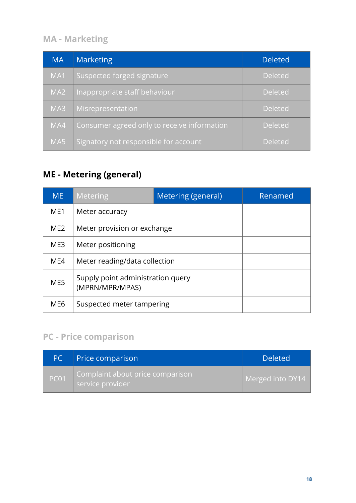#### **MA - Marketing**

| <b>MA</b>       | <b>Marketing</b>                            | <b>Deleted</b> |
|-----------------|---------------------------------------------|----------------|
| MA1             | <b>Suspected forged signature</b>           | <b>Deleted</b> |
| MA <sub>2</sub> | Inappropriate staff behaviour               | <b>Deleted</b> |
| MA3             | Misrepresentation                           | <b>Deleted</b> |
| MA4             | Consumer agreed only to receive information | <b>Deleted</b> |
| MA5             | Signatory not responsible for account       | <b>Deleted</b> |

#### **ME - Metering (general)**

| <b>ME</b>       | <b>Metering</b>                                      | Metering (general) | Renamed |
|-----------------|------------------------------------------------------|--------------------|---------|
| ME1             | Meter accuracy                                       |                    |         |
| ME <sub>2</sub> | Meter provision or exchange                          |                    |         |
| ME3             | Meter positioning                                    |                    |         |
| ME4             | Meter reading/data collection                        |                    |         |
| ME5             | Supply point administration query<br>(MPRN/MPR/MPAS) |                    |         |
| ME <sub>6</sub> | Suspected meter tampering                            |                    |         |

#### **PC - Price comparison**

| PC.              | Price comparison                                     | <b>Deleted</b>   |
|------------------|------------------------------------------------------|------------------|
| PC <sub>01</sub> | Complaint about price comparison<br>service provider | Merged into DY14 |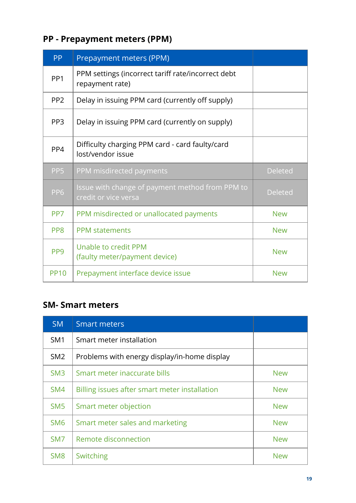#### **PP - Prepayment meters (PPM)**

| <b>PP</b>       | Prepayment meters (PPM)                                                 |                |
|-----------------|-------------------------------------------------------------------------|----------------|
| PP <sub>1</sub> | PPM settings (incorrect tariff rate/incorrect debt<br>repayment rate)   |                |
| PP <sub>2</sub> | Delay in issuing PPM card (currently off supply)                        |                |
| PP <sub>3</sub> | Delay in issuing PPM card (currently on supply)                         |                |
| PP4             | Difficulty charging PPM card - card faulty/card<br>lost/vendor issue    |                |
| PP <sub>5</sub> | PPM misdirected payments                                                | <b>Deleted</b> |
| PP <sub>6</sub> | Issue with change of payment method from PPM to<br>credit or vice versa | <b>Deleted</b> |
| PP7             | PPM misdirected or unallocated payments                                 | <b>New</b>     |
| PP <sub>8</sub> | <b>PPM</b> statements                                                   | <b>New</b>     |
| PP <sub>9</sub> | Unable to credit PPM<br>(faulty meter/payment device)                   | <b>New</b>     |
| <b>PP10</b>     | Prepayment interface device issue                                       | <b>New</b>     |

#### **SM- Smart meters**

| <b>SM</b>       | <b>Smart meters</b>                           |            |
|-----------------|-----------------------------------------------|------------|
| SM <sub>1</sub> | Smart meter installation                      |            |
| SM <sub>2</sub> | Problems with energy display/in-home display  |            |
| SM <sub>3</sub> | Smart meter inaccurate bills                  | <b>New</b> |
| SM4             | Billing issues after smart meter installation | <b>New</b> |
| SM <sub>5</sub> | Smart meter objection                         | <b>New</b> |
| SM <sub>6</sub> | Smart meter sales and marketing               | <b>New</b> |
| SM <sub>7</sub> | Remote disconnection                          | <b>New</b> |
| SM <sub>8</sub> | Switching                                     | <b>New</b> |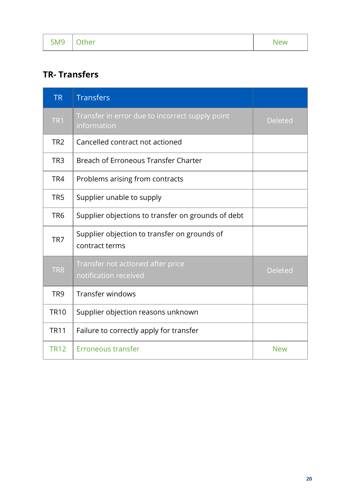| SM <sub>9</sub> | Other | New |
|-----------------|-------|-----|
|-----------------|-------|-----|

#### **TR- Transfers**

| <b>TR</b>       | <b>Transfers</b>                                               |                |
|-----------------|----------------------------------------------------------------|----------------|
| TR <sub>1</sub> | Transfer in error due to incorrect supply point<br>information | <b>Deleted</b> |
| TR <sub>2</sub> | Cancelled contract not actioned                                |                |
| TR <sub>3</sub> | Breach of Erroneous Transfer Charter                           |                |
| TR4             | Problems arising from contracts                                |                |
| TR <sub>5</sub> | Supplier unable to supply                                      |                |
| TR <sub>6</sub> | Supplier objections to transfer on grounds of debt             |                |
| TR7             | Supplier objection to transfer on grounds of<br>contract terms |                |
| TR8             | Transfer not actioned after price<br>notification received     | <b>Deleted</b> |
| TR <sub>9</sub> | <b>Transfer windows</b>                                        |                |
| <b>TR10</b>     | Supplier objection reasons unknown                             |                |
| <b>TR11</b>     | Failure to correctly apply for transfer                        |                |
| <b>TR12</b>     | Erroneous transfer                                             | <b>New</b>     |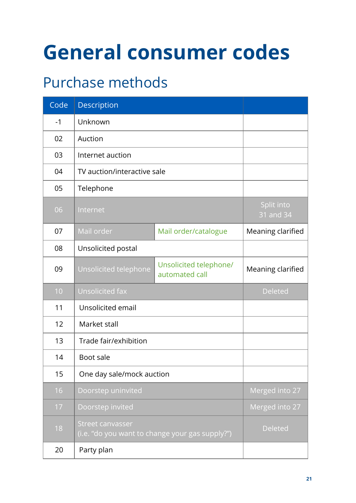## <span id="page-20-0"></span>**General consumer codes**

### <span id="page-20-1"></span>Purchase methods

| Code | Description                                                         |                                          |                         |
|------|---------------------------------------------------------------------|------------------------------------------|-------------------------|
| $-1$ | Unknown                                                             |                                          |                         |
| 02   | Auction                                                             |                                          |                         |
| 03   | Internet auction                                                    |                                          |                         |
| 04   | TV auction/interactive sale                                         |                                          |                         |
| 05   | Telephone                                                           |                                          |                         |
| 06   | Internet                                                            |                                          | Split into<br>31 and 34 |
| 07   | Mail order                                                          | Mail order/catalogue                     | Meaning clarified       |
| 08   | Unsolicited postal                                                  |                                          |                         |
| 09   | Unsolicited telephone                                               | Unsolicited telephone/<br>automated call | Meaning clarified       |
| 10   | Unsolicited fax                                                     |                                          | <b>Deleted</b>          |
| 11   | Unsolicited email                                                   |                                          |                         |
| 12   | Market stall                                                        |                                          |                         |
| 13   | Trade fair/exhibition                                               |                                          |                         |
| 14   | Boot sale                                                           |                                          |                         |
| 15   | One day sale/mock auction                                           |                                          |                         |
| 16   | Doorstep uninvited                                                  |                                          | Merged into 27          |
| 17   | Doorstep invited                                                    |                                          | Merged into 27          |
| 18   | Street canvasser<br>(i.e. "do you want to change your gas supply?") |                                          | <b>Deleted</b>          |
| 20   | Party plan                                                          |                                          |                         |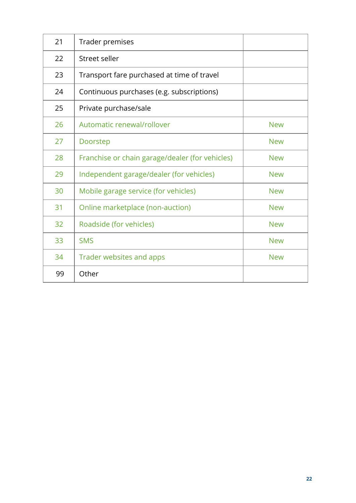| 21 | Trader premises                                 |            |
|----|-------------------------------------------------|------------|
| 22 | Street seller                                   |            |
| 23 | Transport fare purchased at time of travel      |            |
| 24 | Continuous purchases (e.g. subscriptions)       |            |
| 25 | Private purchase/sale                           |            |
| 26 | Automatic renewal/rollover                      | <b>New</b> |
| 27 | Doorstep                                        | <b>New</b> |
| 28 | Franchise or chain garage/dealer (for vehicles) | <b>New</b> |
| 29 | Independent garage/dealer (for vehicles)        | <b>New</b> |
| 30 | Mobile garage service (for vehicles)            | <b>New</b> |
| 31 | Online marketplace (non-auction)                | <b>New</b> |
| 32 | Roadside (for vehicles)                         | <b>New</b> |
| 33 | <b>SMS</b>                                      | <b>New</b> |
| 34 | Trader websites and apps                        | <b>New</b> |
| 99 | Other                                           |            |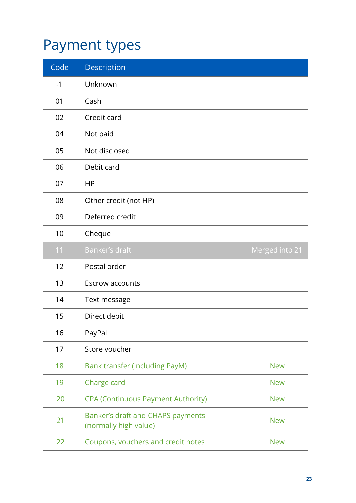### <span id="page-22-0"></span>Payment types

| Code | Description                                                |                |
|------|------------------------------------------------------------|----------------|
| $-1$ | Unknown                                                    |                |
| 01   | Cash                                                       |                |
| 02   | Credit card                                                |                |
| 04   | Not paid                                                   |                |
| 05   | Not disclosed                                              |                |
| 06   | Debit card                                                 |                |
| 07   | <b>HP</b>                                                  |                |
| 08   | Other credit (not HP)                                      |                |
| 09   | Deferred credit                                            |                |
| 10   | Cheque                                                     |                |
| 11   | <b>Banker's draft</b>                                      | Merged into 21 |
| 12   | Postal order                                               |                |
| 13   | <b>Escrow accounts</b>                                     |                |
| 14   | Text message                                               |                |
| 15   | Direct debit                                               |                |
| 16   | PayPal                                                     |                |
| 17   | Store voucher                                              |                |
| 18   | <b>Bank transfer (including PayM)</b>                      | <b>New</b>     |
| 19   | Charge card                                                | <b>New</b>     |
| 20   | <b>CPA (Continuous Payment Authority)</b>                  | <b>New</b>     |
| 21   | Banker's draft and CHAPS payments<br>(normally high value) | <b>New</b>     |
| 22   | Coupons, vouchers and credit notes                         | <b>New</b>     |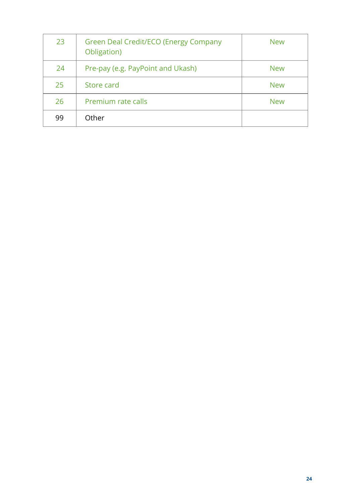| 23 | Green Deal Credit/ECO (Energy Company<br>Obligation) | <b>New</b> |
|----|------------------------------------------------------|------------|
| 24 | Pre-pay (e.g. PayPoint and Ukash)                    | <b>New</b> |
| 25 | Store card                                           | <b>New</b> |
| 26 | Premium rate calls                                   | <b>New</b> |
| 99 | Other                                                |            |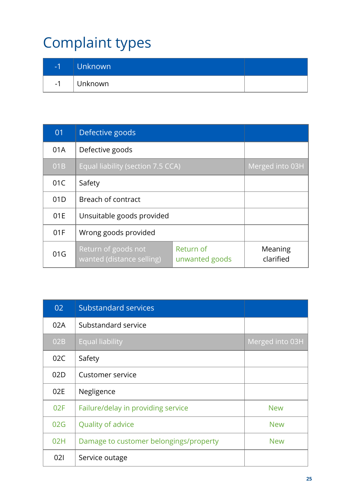### <span id="page-24-0"></span>Complaint types

|         | <b>Unknown</b> |  |
|---------|----------------|--|
| ำ<br>нU | Unknown        |  |

| 01  | Defective goods                                  |                             |                      |
|-----|--------------------------------------------------|-----------------------------|----------------------|
| 01A | Defective goods                                  |                             |                      |
| 01B | Equal liability (section 7.5 CCA)                |                             | Merged into 03H      |
| 01C | Safety                                           |                             |                      |
| 01D | Breach of contract                               |                             |                      |
| 01E | Unsuitable goods provided                        |                             |                      |
| 01F | Wrong goods provided                             |                             |                      |
| 01G | Return of goods not<br>wanted (distance selling) | Return of<br>unwanted goods | Meaning<br>clarified |

| 02  | Substandard services                   |                 |
|-----|----------------------------------------|-----------------|
| 02A | Substandard service                    |                 |
| 02B | <b>Equal liability</b>                 | Merged into 03H |
| 02C | Safety                                 |                 |
| 02D | <b>Customer service</b>                |                 |
| 02E | Negligence                             |                 |
| 02F | Failure/delay in providing service     | <b>New</b>      |
| 02G | <b>Quality of advice</b>               | <b>New</b>      |
| 02H | Damage to customer belongings/property | <b>New</b>      |
| 021 | Service outage                         |                 |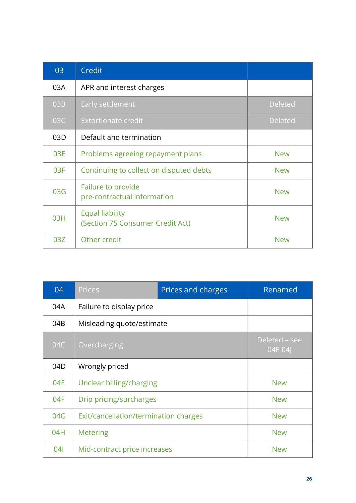| 03  | Credit                                              |                |
|-----|-----------------------------------------------------|----------------|
| 03A | APR and interest charges                            |                |
| 03B | Early settlement                                    | <b>Deleted</b> |
| 03C | <b>Extortionate credit</b>                          | <b>Deleted</b> |
| 03D | Default and termination                             |                |
| 03E | Problems agreeing repayment plans                   | <b>New</b>     |
| 03F | Continuing to collect on disputed debts             | <b>New</b>     |
| 03G | Failure to provide<br>pre-contractual information   | <b>New</b>     |
| 03H | Equal liability<br>(Section 75 Consumer Credit Act) | <b>New</b>     |
| 03Z | Other credit                                        | <b>New</b>     |

| 04  | Prices                                | Prices and charges | Renamed                  |
|-----|---------------------------------------|--------------------|--------------------------|
| 04A | Failure to display price              |                    |                          |
| 04B | Misleading quote/estimate             |                    |                          |
| 04C | Overcharging                          |                    | Deleted - see<br>04F-04I |
| 04D | Wrongly priced                        |                    |                          |
| 04E | Unclear billing/charging              |                    | <b>New</b>               |
| 04F | Drip pricing/surcharges               |                    | <b>New</b>               |
| 04G | Exit/cancellation/termination charges |                    | <b>New</b>               |
| 04H | <b>Metering</b>                       |                    | <b>New</b>               |
| 041 | Mid-contract price increases          |                    | <b>New</b>               |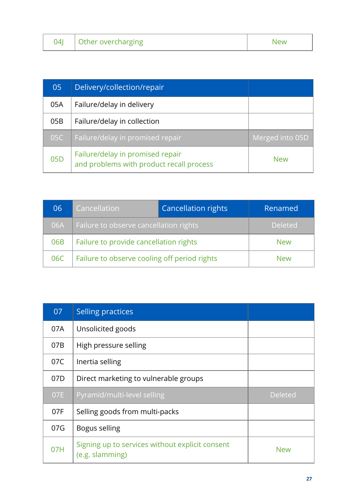| 04 | Other overcharging | New |
|----|--------------------|-----|
|    |                    |     |

| 05              | Delivery/collection/repair                                                   |                 |
|-----------------|------------------------------------------------------------------------------|-----------------|
| 05A             | Failure/delay in delivery                                                    |                 |
| 05B             | Failure/delay in collection                                                  |                 |
| 05C             | Failure/delay in promised repair                                             | Merged into 05D |
| 05 <sub>D</sub> | Failure/delay in promised repair<br>and problems with product recall process | <b>New</b>      |

| 06  | Cancellation                                 | <b>Cancellation rights</b> | Renamed        |
|-----|----------------------------------------------|----------------------------|----------------|
| 06A | Failure to observe cancellation rights       |                            | <b>Deleted</b> |
| 06B | Failure to provide cancellation rights       |                            | <b>New</b>     |
| 06C | Failure to observe cooling off period rights |                            | New            |

| 07  | <b>Selling practices</b>                                           |                |
|-----|--------------------------------------------------------------------|----------------|
| 07A | Unsolicited goods                                                  |                |
| 07B | High pressure selling                                              |                |
| 07C | Inertia selling                                                    |                |
| 07D | Direct marketing to vulnerable groups                              |                |
| 07E | Pyramid/multi-level selling                                        | <b>Deleted</b> |
| 07F | Selling goods from multi-packs                                     |                |
| 07G | Bogus selling                                                      |                |
| 07H | Signing up to services without explicit consent<br>(e.g. slamming) | <b>New</b>     |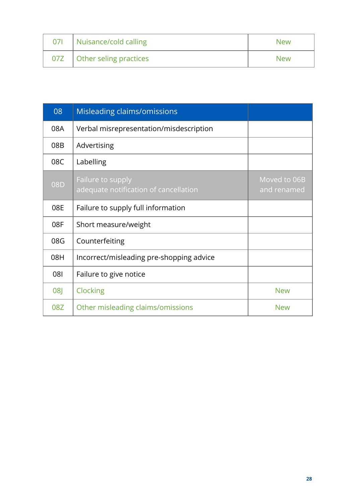| 071 | Nuisance/cold calling        | <b>New</b> |
|-----|------------------------------|------------|
|     | 07Z   Other seling practices | <b>New</b> |

| 08  | Misleading claims/omissions                                |                             |
|-----|------------------------------------------------------------|-----------------------------|
| 08A | Verbal misrepresentation/misdescription                    |                             |
| 08B | Advertising                                                |                             |
| 08C | Labelling                                                  |                             |
| 08D | Failure to supply<br>adequate notification of cancellation | Moved to 06B<br>and renamed |
| 08E | Failure to supply full information                         |                             |
| 08F | Short measure/weight                                       |                             |
| 08G | Counterfeiting                                             |                             |
| 08H | Incorrect/misleading pre-shopping advice                   |                             |
| 081 | Failure to give notice                                     |                             |
| 08  | Clocking                                                   | <b>New</b>                  |
| 08Z | Other misleading claims/omissions                          | <b>New</b>                  |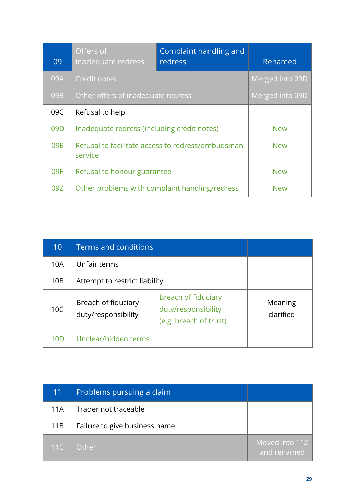| 09              | Offers of<br>inadequate redress                              | <b>Complaint handling and</b><br>redress | Renamed         |
|-----------------|--------------------------------------------------------------|------------------------------------------|-----------------|
| 09A             | Credit notes                                                 |                                          | Merged into 09D |
| 09B             | Other offers of inadequate redress                           |                                          | Merged into 09D |
| 09C             | Refusal to help                                              |                                          |                 |
| 09 <sub>D</sub> | Inadequate redress (including credit notes)                  |                                          | <b>New</b>      |
| 09E             | Refusal to facilitate access to redress/ombudsman<br>service |                                          | <b>New</b>      |
| 09F             | Refusal to honour guarantee                                  |                                          | <b>New</b>      |
| 09Z             | Other problems with complaint handling/redress               |                                          | <b>New</b>      |

| 10  | Terms and conditions                       |                                                                             |                      |
|-----|--------------------------------------------|-----------------------------------------------------------------------------|----------------------|
| 10A | Unfair terms                               |                                                                             |                      |
| 10B | Attempt to restrict liability              |                                                                             |                      |
| 10C | Breach of fiduciary<br>duty/responsibility | <b>Breach of fiduciary</b><br>duty/responsibility<br>(e.g. breach of trust) | Meaning<br>clarified |
| 10D | Unclear/hidden terms                       |                                                                             |                      |

| <b>417</b> | Problems pursuing a claim     |                               |
|------------|-------------------------------|-------------------------------|
| 11A        | Trader not traceable          |                               |
| 11B        | Failure to give business name |                               |
| 11C        | Other                         | Moved into 11Z<br>and renamed |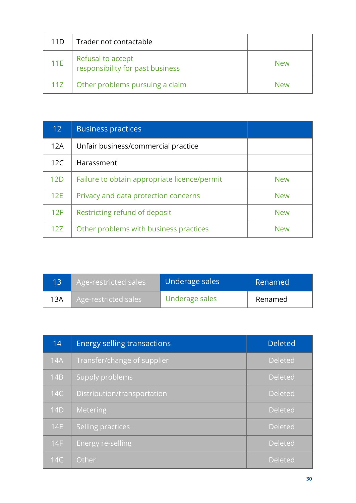| 11D | Trader not contactable                                |            |
|-----|-------------------------------------------------------|------------|
| 11E | Refusal to accept<br>responsibility for past business | <b>New</b> |
| 11Z | Other problems pursuing a claim                       | <b>New</b> |

| 12 <sup>2</sup> | <b>Business practices</b>                    |            |
|-----------------|----------------------------------------------|------------|
| 12A             | Unfair business/commercial practice          |            |
| 12C             | Harassment                                   |            |
| 12D             | Failure to obtain appropriate licence/permit | <b>New</b> |
| 12E             | Privacy and data protection concerns         | <b>New</b> |
| 12F             | Restricting refund of deposit                | <b>New</b> |
| 12Z             | Other problems with business practices       | <b>New</b> |

| 13  | Age-restricted sales | Underage sales | Renamed |
|-----|----------------------|----------------|---------|
| 13A | Age-restricted sales | Underage sales | Renamed |

| 14  | <b>Energy selling transactions</b> | <b>Deleted</b> |
|-----|------------------------------------|----------------|
| 14A | Transfer/change of supplier        | <b>Deleted</b> |
| 14B | <b>Supply problems</b>             | <b>Deleted</b> |
| 14C | Distribution/transportation        | <b>Deleted</b> |
| 14D | Metering                           | <b>Deleted</b> |
| 14E | <b>Selling practices</b>           | <b>Deleted</b> |
| 14F | Energy re-selling                  | <b>Deleted</b> |
| 14G | Other                              | <b>Deleted</b> |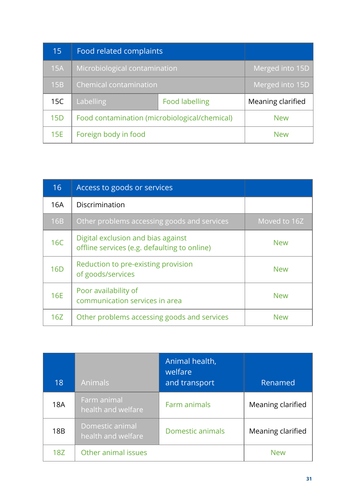| 15         | Food related complaints                       |  |                   |
|------------|-----------------------------------------------|--|-------------------|
| 15A        | Microbiological contamination                 |  | Merged into 15D   |
| <b>15B</b> | <b>Chemical contamination</b>                 |  | Merged into 15D   |
| 15C        | Labelling<br><b>Food labelling</b>            |  | Meaning clarified |
| 15D        | Food contamination (microbiological/chemical) |  | <b>New</b>        |
|            | Foreign body in food                          |  |                   |

| 16              | Access to goods or services                                                        |              |
|-----------------|------------------------------------------------------------------------------------|--------------|
| 16A             | Discrimination                                                                     |              |
| <b>16B</b>      | Other problems accessing goods and services                                        | Moved to 16Z |
| <b>16C</b>      | Digital exclusion and bias against<br>offline services (e.g. defaulting to online) | <b>New</b>   |
| 16 <sub>D</sub> | Reduction to pre-existing provision<br>of goods/services                           | <b>New</b>   |
| 16E             | Poor availability of<br>communication services in area                             | <b>New</b>   |
| 16Z             | Other problems accessing goods and services                                        | New          |

| 18  | <b>Animals</b>                        | Animal health,<br>welfare<br>and transport | Renamed           |
|-----|---------------------------------------|--------------------------------------------|-------------------|
| 18A | Farm animal<br>health and welfare     | Farm animals                               | Meaning clarified |
| 18B | Domestic animal<br>health and welfare | Domestic animals                           | Meaning clarified |
| 18Z | Other animal issues                   |                                            | <b>New</b>        |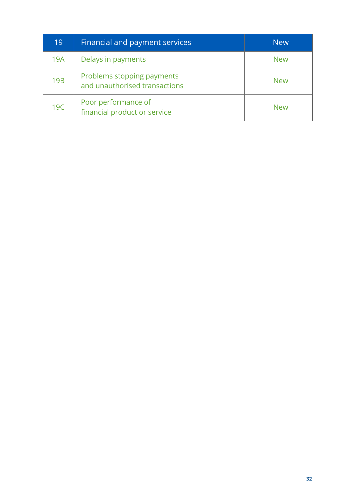| 19         | Financial and payment services                              | <b>New</b> |
|------------|-------------------------------------------------------------|------------|
| 19A        | Delays in payments                                          | <b>New</b> |
| <b>19B</b> | Problems stopping payments<br>and unauthorised transactions | <b>New</b> |
| 19C        | Poor performance of<br>financial product or service         | <b>New</b> |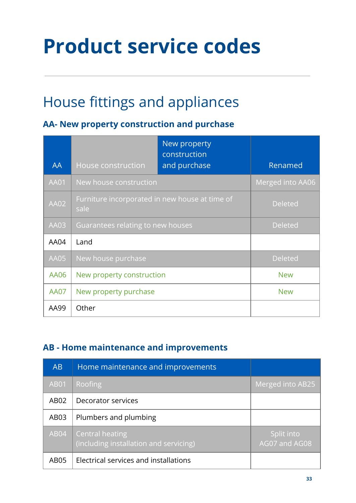# <span id="page-32-0"></span>**Product service codes**

### <span id="page-32-1"></span>House fittings and appliances

#### **AA- New property construction and purchase**

|             |                                                        | New property<br>construction |                  |
|-------------|--------------------------------------------------------|------------------------------|------------------|
| AA          | <b>House construction</b>                              | and purchase                 | Renamed          |
| <b>AA01</b> | New house construction                                 |                              | Merged into AA06 |
| <b>AA02</b> | Furniture incorporated in new house at time of<br>sale |                              | <b>Deleted</b>   |
| AA03        | Guarantees relating to new houses                      |                              | <b>Deleted</b>   |
| AA04        | Land                                                   |                              |                  |
| AA05        | New house purchase                                     |                              | <b>Deleted</b>   |
| AA06        | New property construction                              |                              | <b>New</b>       |
| <b>AA07</b> | New property purchase                                  |                              | <b>New</b>       |
| AA99        | Other                                                  |                              |                  |

#### **AB - Home maintenance and improvements**

| AB               | Home maintenance and improvements                                |                             |
|------------------|------------------------------------------------------------------|-----------------------------|
| <b>AB01</b>      | Roofing                                                          | Merged into AB25            |
| AB <sub>02</sub> | Decorator services                                               |                             |
| AB <sub>03</sub> | Plumbers and plumbing                                            |                             |
| AB04             | <b>Central heating</b><br>(including installation and servicing) | Split into<br>AG07 and AG08 |
| AB <sub>05</sub> | Electrical services and installations                            |                             |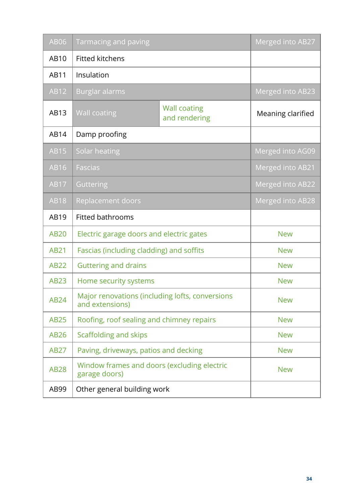| <b>AB06</b> | Tarmacing and paving                                               |                                      | Merged into AB27        |
|-------------|--------------------------------------------------------------------|--------------------------------------|-------------------------|
| AB10        | <b>Fitted kitchens</b>                                             |                                      |                         |
| AB11        | Insulation                                                         |                                      |                         |
| <b>AB12</b> | <b>Burglar alarms</b>                                              |                                      | Merged into AB23        |
| AB13        | <b>Wall coating</b>                                                | <b>Wall coating</b><br>and rendering | Meaning clarified       |
| AB14        | Damp proofing                                                      |                                      |                         |
| <b>AB15</b> | Solar heating                                                      |                                      | Merged into AG09        |
| AB16        | <b>Fascias</b>                                                     |                                      | <b>Merged into AB21</b> |
| AB17        | Guttering                                                          |                                      | Merged into AB22        |
| <b>AB18</b> | <b>Replacement doors</b>                                           |                                      | Merged into AB28        |
| AB19        | <b>Fitted bathrooms</b>                                            |                                      |                         |
| <b>AB20</b> | Electric garage doors and electric gates                           |                                      | <b>New</b>              |
| AB21        | Fascias (including cladding) and soffits                           |                                      | <b>New</b>              |
| <b>AB22</b> | <b>Guttering and drains</b>                                        |                                      | <b>New</b>              |
| <b>AB23</b> | Home security systems                                              |                                      | <b>New</b>              |
| <b>AB24</b> | Major renovations (including lofts, conversions<br>and extensions) |                                      | <b>New</b>              |
| <b>AB25</b> | Roofing, roof sealing and chimney repairs                          |                                      | <b>New</b>              |
| <b>AB26</b> | Scaffolding and skips                                              |                                      | <b>New</b>              |
| <b>AB27</b> | Paving, driveways, patios and decking                              |                                      | <b>New</b>              |
| <b>AB28</b> | Window frames and doors (excluding electric<br>garage doors)       |                                      | <b>New</b>              |
| AB99        | Other general building work                                        |                                      |                         |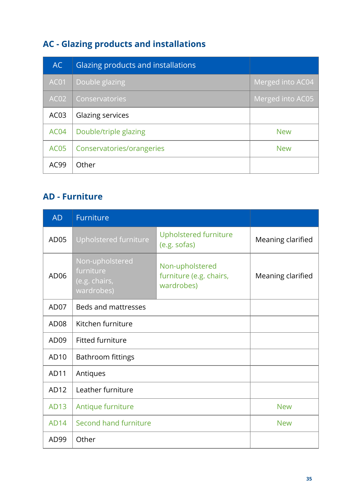#### **AC - Glazing products and installations**

| <b>AC</b>        | <b>Glazing products and installations</b> |                  |
|------------------|-------------------------------------------|------------------|
| AC01             | Double glazing                            | Merged into AC04 |
| AC <sub>02</sub> | Conservatories                            | Merged into AC05 |
| AC <sub>03</sub> | Glazing services                          |                  |
| AC <sub>04</sub> | Double/triple glazing                     | <b>New</b>       |
| <b>AC05</b>      | Conservatories/orangeries                 | <b>New</b>       |
| AC99             | Other                                     |                  |

#### **AD - Furniture**

| <b>AD</b>        | Furniture                                                   |                                                          |                   |
|------------------|-------------------------------------------------------------|----------------------------------------------------------|-------------------|
| AD <sub>05</sub> | Upholstered furniture                                       | Upholstered furniture<br>(e.g. sofas)                    | Meaning clarified |
| AD <sub>06</sub> | Non-upholstered<br>furniture<br>(e.g. chairs,<br>wardrobes) | Non-upholstered<br>furniture (e.g. chairs,<br>wardrobes) | Meaning clarified |
| AD07             | <b>Beds and mattresses</b>                                  |                                                          |                   |
| AD <sub>08</sub> | Kitchen furniture                                           |                                                          |                   |
| AD <sub>09</sub> | <b>Fitted furniture</b>                                     |                                                          |                   |
| AD10             | Bathroom fittings                                           |                                                          |                   |
| AD11             | Antiques                                                    |                                                          |                   |
| AD12             | Leather furniture                                           |                                                          |                   |
| <b>AD13</b>      | Antique furniture                                           |                                                          | <b>New</b>        |
| <b>AD14</b>      | Second hand furniture                                       |                                                          | <b>New</b>        |
| AD99             | Other                                                       |                                                          |                   |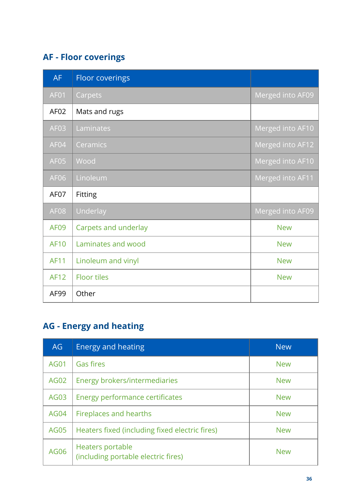#### **AF - Floor coverings**

| <b>AF</b>        | <b>Floor coverings</b> |                  |
|------------------|------------------------|------------------|
| AF01             | Carpets                | Merged into AF09 |
| AF <sub>02</sub> | Mats and rugs          |                  |
| AF <sub>03</sub> | Laminates              | Merged into AF10 |
| AF04             | Ceramics               | Merged into AF12 |
| <b>AF05</b>      | Wood                   | Merged into AF10 |
| AF06             | Linoleum               | Merged into AF11 |
| AF <sub>07</sub> | Fitting                |                  |
| <b>AF08</b>      | Underlay               | Merged into AF09 |
| AF <sub>09</sub> | Carpets and underlay   | <b>New</b>       |
| <b>AF10</b>      | Laminates and wood     | <b>New</b>       |
| <b>AF11</b>      | Linoleum and vinyl     | <b>New</b>       |
| <b>AF12</b>      | <b>Floor tiles</b>     | <b>New</b>       |
| AF99             | Other                  |                  |

#### **AG - Energy and heating**

| AG          | Energy and heating                                      | <b>New</b> |
|-------------|---------------------------------------------------------|------------|
| <b>AG01</b> | <b>Gas fires</b>                                        | <b>New</b> |
| <b>AG02</b> | Energy brokers/intermediaries                           | <b>New</b> |
| <b>AG03</b> | Energy performance certificates                         | <b>New</b> |
| <b>AG04</b> | Fireplaces and hearths                                  | <b>New</b> |
| <b>AG05</b> | Heaters fixed (including fixed electric fires)          | <b>New</b> |
| <b>AG06</b> | Heaters portable<br>(including portable electric fires) | <b>New</b> |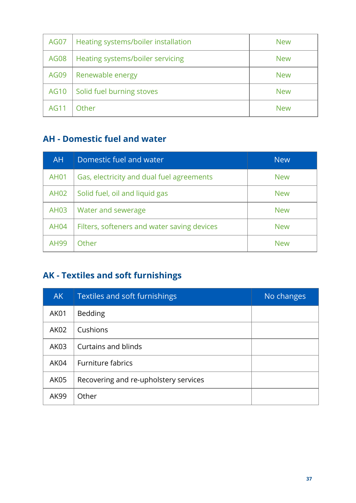| <b>AG07</b> | Heating systems/boiler installation | <b>New</b> |
|-------------|-------------------------------------|------------|
| <b>AG08</b> | Heating systems/boiler servicing    | <b>New</b> |
| <b>AG09</b> | Renewable energy                    | <b>New</b> |
| <b>AG10</b> | Solid fuel burning stoves           | <b>New</b> |
| <b>AG11</b> | Other                               | <b>New</b> |

#### **AH - Domestic fuel and water**

| AH          | Domestic fuel and water                     | <b>New</b> |
|-------------|---------------------------------------------|------------|
| <b>AH01</b> | Gas, electricity and dual fuel agreements   | <b>New</b> |
| <b>AH02</b> | Solid fuel, oil and liquid gas              | <b>New</b> |
| <b>AH03</b> | Water and sewerage                          | <b>New</b> |
| <b>AH04</b> | Filters, softeners and water saving devices | <b>New</b> |
| AH99        | Other                                       | <b>New</b> |

## **AK - Textiles and soft furnishings**

| <b>AK</b>   | Textiles and soft furnishings         | No changes |
|-------------|---------------------------------------|------------|
| AK01        | <b>Bedding</b>                        |            |
| AK02        | Cushions                              |            |
| AK03        | Curtains and blinds                   |            |
| AK04        | <b>Furniture fabrics</b>              |            |
| AK05        | Recovering and re-upholstery services |            |
| <b>AK99</b> | Other                                 |            |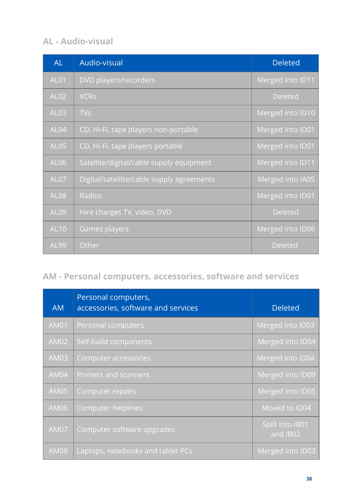#### **AL - Audio-visual**

| <b>AL</b>   | Audio-visual                              | <b>Deleted</b>   |
|-------------|-------------------------------------------|------------------|
| AL01        | DVD players/recorders                     | Merged into ID11 |
| <b>AL02</b> | <b>VCRs</b>                               | <b>Deleted</b>   |
| AL03        | <b>TVs</b>                                | Merged into ID10 |
| AL04        | CD, Hi-Fi, tape players non-portable      | Merged into ID01 |
| <b>AL05</b> | CD, Hi-Fi, tape players portable          | Merged into ID01 |
| <b>AL06</b> | Satellite/digital/cable supply equipment  | Merged into ID11 |
| AL07        | Digital/satellite/cable supply agreements | Merged into IA05 |
| <b>AL08</b> | Radios                                    | Merged into ID01 |
| <b>AL09</b> | Hire charges TV, video, DVD               | <b>Deleted</b>   |
| <b>AL10</b> | Games players                             | Merged into ID06 |
| <b>AL99</b> | Other                                     | <b>Deleted</b>   |

## **AM - Personal computers, accessories, software and services**

| <b>AM</b>   | Personal computers,<br>accessories, software and services | <b>Deleted</b>              |
|-------------|-----------------------------------------------------------|-----------------------------|
| <b>AM01</b> | Personal computers                                        | Merged into ID03            |
| <b>AM02</b> | Self-build components                                     | Merged into ID04            |
| <b>AM03</b> | Computer accessories                                      | Merged into ID04            |
| <b>AM04</b> | Printers and scanners                                     | Merged into ID09            |
| <b>AM05</b> | Computer repairs                                          | Merged into ID05            |
| AM06        | <b>Computer helplines</b>                                 | Moved to ID04               |
| <b>AM07</b> | Computer software upgrades                                | Split into IB01<br>and IB02 |
| <b>AM08</b> | Laptops, notebooks and tablet PCs                         | Merged into ID03            |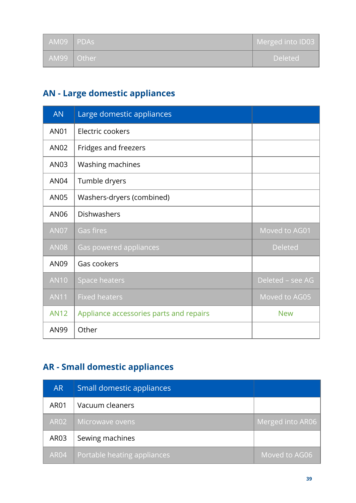| AM09         | <b>PDAS</b> | Merged into ID03 |
|--------------|-------------|------------------|
| AM99   Other |             | <b>Deleted</b>   |

## **AN - Large domestic appliances**

| <b>AN</b>   | Large domestic appliances               |                  |
|-------------|-----------------------------------------|------------------|
| <b>AN01</b> | Electric cookers                        |                  |
| <b>AN02</b> | Fridges and freezers                    |                  |
| AN03        | Washing machines                        |                  |
| <b>AN04</b> | Tumble dryers                           |                  |
| <b>AN05</b> | Washers-dryers (combined)               |                  |
| AN06        | <b>Dishwashers</b>                      |                  |
| <b>AN07</b> | <b>Gas fires</b>                        | Moved to AG01    |
| <b>AN08</b> | Gas powered appliances                  | Deleted          |
| AN09        | Gas cookers                             |                  |
| <b>AN10</b> | <b>Space heaters</b>                    | Deleted - see AG |
| <b>AN11</b> | <b>Fixed heaters</b>                    | Moved to AG05    |
| <b>AN12</b> | Appliance accessories parts and repairs | <b>New</b>       |
| AN99        | Other                                   |                  |

## **AR - Small domestic appliances**

| <b>AR</b>        | Small domestic appliances   |                  |
|------------------|-----------------------------|------------------|
| AR <sub>01</sub> | Vacuum cleaners             |                  |
| AR02             | Microwave ovens             | Merged into AR06 |
| AR03             | Sewing machines             |                  |
| AR <sub>04</sub> | Portable heating appliances | Moved to AG06    |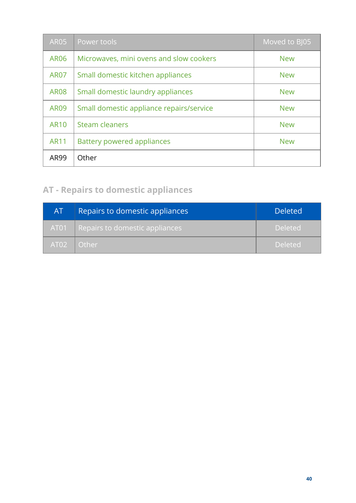| <b>AR05</b> | Power tools                              | Moved to BJ05 |
|-------------|------------------------------------------|---------------|
| <b>AR06</b> | Microwaves, mini ovens and slow cookers  | <b>New</b>    |
| <b>AR07</b> | Small domestic kitchen appliances        | <b>New</b>    |
| <b>AR08</b> | Small domestic laundry appliances        | <b>New</b>    |
| <b>AR09</b> | Small domestic appliance repairs/service | <b>New</b>    |
| <b>AR10</b> | <b>Steam cleaners</b>                    | <b>New</b>    |
| <b>AR11</b> | <b>Battery powered appliances</b>        | <b>New</b>    |
| AR99        | Other                                    |               |

## **AT - Repairs to domestic appliances**

| AT               | Repairs to domestic appliances | <b>Deleted</b> |
|------------------|--------------------------------|----------------|
| AT <sub>01</sub> | Repairs to domestic appliances | <b>Deleted</b> |
| AT02             | Other                          | <b>Deleted</b> |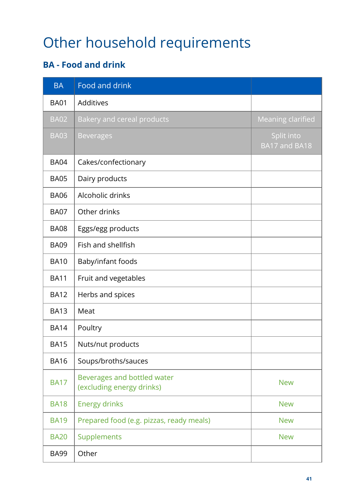# Other household requirements

## **BA - Food and drink**

| <b>BA</b>   | Food and drink                                           |                             |
|-------------|----------------------------------------------------------|-----------------------------|
| <b>BA01</b> | Additives                                                |                             |
| <b>BA02</b> | Bakery and cereal products                               | <b>Meaning clarified</b>    |
| <b>BA03</b> | <b>Beverages</b>                                         | Split into<br>BA17 and BA18 |
| <b>BA04</b> | Cakes/confectionary                                      |                             |
| <b>BA05</b> | Dairy products                                           |                             |
| <b>BA06</b> | Alcoholic drinks                                         |                             |
| <b>BA07</b> | Other drinks                                             |                             |
| <b>BA08</b> | Eggs/egg products                                        |                             |
| <b>BA09</b> | Fish and shellfish                                       |                             |
| <b>BA10</b> | Baby/infant foods                                        |                             |
| <b>BA11</b> | Fruit and vegetables                                     |                             |
| <b>BA12</b> | Herbs and spices                                         |                             |
| <b>BA13</b> | Meat                                                     |                             |
| <b>BA14</b> | Poultry                                                  |                             |
| <b>BA15</b> | Nuts/nut products                                        |                             |
| <b>BA16</b> | Soups/broths/sauces                                      |                             |
| <b>BA17</b> | Beverages and bottled water<br>(excluding energy drinks) | <b>New</b>                  |
| <b>BA18</b> | <b>Energy drinks</b>                                     | <b>New</b>                  |
| <b>BA19</b> | Prepared food (e.g. pizzas, ready meals)                 | <b>New</b>                  |
| <b>BA20</b> | Supplements                                              | <b>New</b>                  |
| <b>BA99</b> | Other                                                    |                             |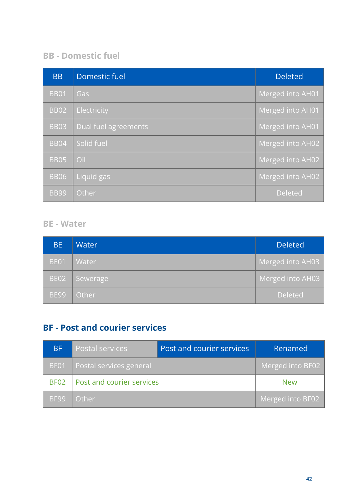#### **BB - Domestic fuel**

| <b>BB</b>   | Domestic fuel        | <b>Deleted</b>   |
|-------------|----------------------|------------------|
| <b>BB01</b> | Gas                  | Merged into AH01 |
| <b>BB02</b> | Electricity          | Merged into AH01 |
| <b>BB03</b> | Dual fuel agreements | Merged into AH01 |
| <b>BB04</b> | Solid fuel           | Merged into AH02 |
| <b>BB05</b> | Oil                  | Merged into AH02 |
| <b>BB06</b> | Liquid gas           | Merged into AH02 |
| <b>BB99</b> | Other                | <b>Deleted</b>   |

#### **BE - Water**

| <b>BE</b>   | Water    | <b>Deleted</b>   |
|-------------|----------|------------------|
| <b>BE01</b> | Water    | Merged into AH03 |
| <b>BE02</b> | Sewerage | Merged into AH03 |
| <b>BE99</b> | Other    | <b>Deleted</b>   |

#### **BF - Post and courier services**

| <b>BF</b>   | <b>Postal services</b>         | Post and courier services | Renamed          |
|-------------|--------------------------------|---------------------------|------------------|
|             | BF01   Postal services general |                           | Merged into BF02 |
| <b>BF02</b> | Post and courier services      |                           | <b>New</b>       |
| <b>BF99</b> | Other                          |                           | Merged into BF02 |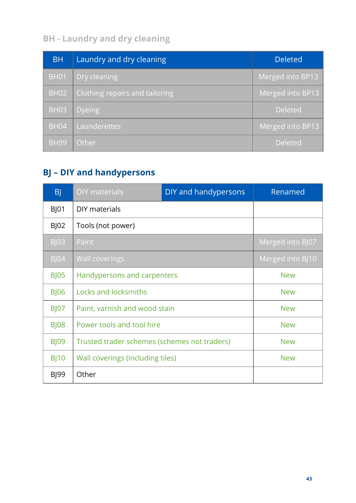# **BH - Laundry and dry cleaning**

| <b>BH</b>   | Laundry and dry cleaning       | <b>Deleted</b>   |
|-------------|--------------------------------|------------------|
| <b>BH01</b> | Dry cleaning                   | Merged into BP13 |
| <b>BH02</b> | Clothing repairs and tailoring | Merged into BP13 |
| <b>BH03</b> | <b>Dyeing</b>                  | <b>Deleted</b>   |
| <b>BH04</b> | Launderettes                   | Merged into BP13 |
| <b>BH99</b> | Other                          | <b>Deleted</b>   |

## **BJ – DIY and handypersons**

| <b>B</b>    | <b>DIY materials</b>                         | DIY and handypersons | Renamed          |
|-------------|----------------------------------------------|----------------------|------------------|
| $B$ ] $01$  | DIY materials                                |                      |                  |
| $B$ ] 02    | Tools (not power)                            |                      |                  |
| <b>BJ03</b> | Paint                                        |                      | Merged into BJ07 |
| $B$ ] $04$  | <b>Wall coverings</b>                        |                      | Merged into BJ10 |
| <b>BJ05</b> | Handypersons and carpenters                  |                      | <b>New</b>       |
| <b>BJ06</b> | Locks and locksmiths                         |                      | <b>New</b>       |
| <b>BJ07</b> | Paint, varnish and wood stain                |                      | <b>New</b>       |
| <b>BJ08</b> | Power tools and tool hire                    |                      | <b>New</b>       |
| <b>BJ09</b> | Trusted trader schemes (schemes not traders) |                      | <b>New</b>       |
| <b>BJ10</b> | Wall coverings (including tiles)             |                      | <b>New</b>       |
| <b>BJ99</b> | Other                                        |                      |                  |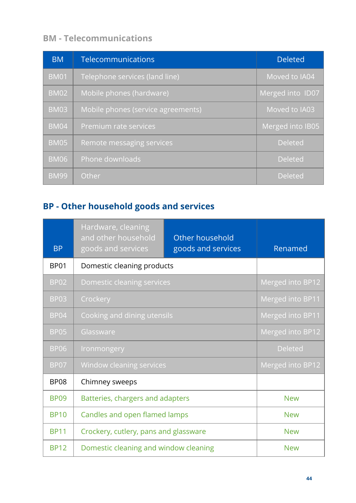## **BM - Telecommunications**

| <b>BM</b>   | Telecommunications                 | <b>Deleted</b>   |
|-------------|------------------------------------|------------------|
| <b>BM01</b> | Telephone services (land line)     | Moved to IA04    |
| <b>BM02</b> | Mobile phones (hardware)           | Merged into ID07 |
| <b>BM03</b> | Mobile phones (service agreements) | Moved to IA03    |
| BM04        | Premium rate services              | Merged into IB05 |
| <b>BM05</b> | Remote messaging services          | <b>Deleted</b>   |
| <b>BM06</b> | Phone downloads                    | <b>Deleted</b>   |
| <b>BM99</b> | <b>Other</b>                       | <b>Deleted</b>   |

# **BP - Other household goods and services**

| <b>BP</b>   | Hardware, cleaning<br>and other household<br>goods and services | Other household<br>goods and services | Renamed          |
|-------------|-----------------------------------------------------------------|---------------------------------------|------------------|
| <b>BP01</b> | Domestic cleaning products                                      |                                       |                  |
| <b>BP02</b> | Domestic cleaning services                                      |                                       | Merged into BP12 |
| <b>BP03</b> | Crockery                                                        |                                       | Merged into BP11 |
| <b>BP04</b> | Cooking and dining utensils                                     |                                       | Merged into BP11 |
| <b>BP05</b> | Glassware                                                       |                                       | Merged into BP12 |
| <b>BP06</b> | Ironmongery                                                     |                                       | <b>Deleted</b>   |
| <b>BP07</b> | <b>Window cleaning services</b>                                 |                                       | Merged into BP12 |
| <b>BP08</b> | Chimney sweeps                                                  |                                       |                  |
| <b>BP09</b> | Batteries, chargers and adapters                                |                                       | <b>New</b>       |
| <b>BP10</b> | Candles and open flamed lamps                                   |                                       | <b>New</b>       |
| <b>BP11</b> | Crockery, cutlery, pans and glassware                           |                                       | <b>New</b>       |
| <b>BP12</b> | Domestic cleaning and window cleaning                           |                                       | <b>New</b>       |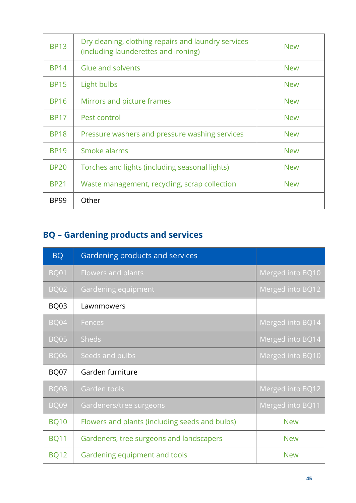| <b>BP13</b> | Dry cleaning, clothing repairs and laundry services<br>(including launderettes and ironing) | <b>New</b> |
|-------------|---------------------------------------------------------------------------------------------|------------|
| <b>BP14</b> | <b>Glue and solvents</b>                                                                    | <b>New</b> |
| <b>BP15</b> | Light bulbs                                                                                 | <b>New</b> |
| <b>BP16</b> | Mirrors and picture frames                                                                  | <b>New</b> |
| <b>BP17</b> | Pest control                                                                                | <b>New</b> |
| <b>BP18</b> | Pressure washers and pressure washing services                                              | <b>New</b> |
| <b>BP19</b> | Smoke alarms                                                                                | <b>New</b> |
| <b>BP20</b> | Torches and lights (including seasonal lights)                                              | <b>New</b> |
| <b>BP21</b> | Waste management, recycling, scrap collection                                               | <b>New</b> |
| <b>BP99</b> | Other                                                                                       |            |

# **BQ – Gardening products and services**

| <b>BQ</b>   | Gardening products and services                |                  |
|-------------|------------------------------------------------|------------------|
| <b>BQ01</b> | Flowers and plants                             | Merged into BQ10 |
| <b>BQ02</b> | Gardening equipment                            | Merged into BQ12 |
| BQ03        | Lawnmowers                                     |                  |
| <b>BQ04</b> | Fences                                         | Merged into BQ14 |
| <b>BQ05</b> | <b>Sheds</b>                                   | Merged into BQ14 |
| <b>BQ06</b> | Seeds and bulbs                                | Merged into BQ10 |
| <b>BQ07</b> | Garden furniture                               |                  |
| <b>BQ08</b> | Garden tools                                   | Merged into BQ12 |
| <b>BQ09</b> | Gardeners/tree surgeons                        | Merged into BQ11 |
| <b>BQ10</b> | Flowers and plants (including seeds and bulbs) | <b>New</b>       |
| <b>BQ11</b> | Gardeners, tree surgeons and landscapers       | <b>New</b>       |
| <b>BQ12</b> | Gardening equipment and tools                  | <b>New</b>       |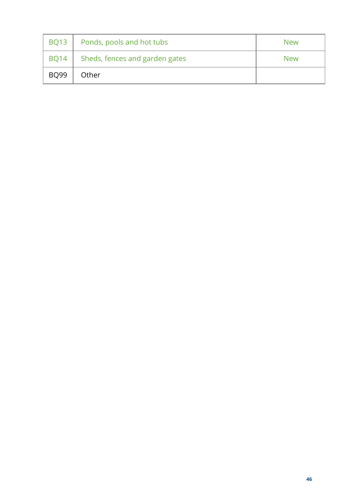| <b>BQ13</b> | Ponds, pools and hot tubs      | <b>New</b> |
|-------------|--------------------------------|------------|
| <b>BQ14</b> | Sheds, fences and garden gates | <b>New</b> |
| <b>BQ99</b> | Other                          |            |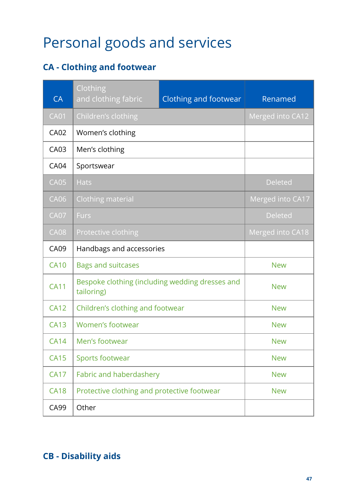# Personal goods and services

## **CA - Clothing and footwear**

| <b>CA</b>   | <b>Clothing</b><br>and clothing fabric                        | Clothing and footwear | Renamed          |
|-------------|---------------------------------------------------------------|-----------------------|------------------|
| <b>CA01</b> | Children's clothing                                           |                       | Merged into CA12 |
| <b>CA02</b> | Women's clothing                                              |                       |                  |
| CA03        | Men's clothing                                                |                       |                  |
| <b>CA04</b> | Sportswear                                                    |                       |                  |
| <b>CA05</b> | <b>Hats</b>                                                   |                       | <b>Deleted</b>   |
| <b>CA06</b> | Clothing material                                             |                       | Merged into CA17 |
| <b>CA07</b> | <b>Furs</b>                                                   |                       | <b>Deleted</b>   |
| <b>CA08</b> | Protective clothing                                           |                       | Merged into CA18 |
| <b>CA09</b> | Handbags and accessories                                      |                       |                  |
| <b>CA10</b> | <b>Bags and suitcases</b>                                     |                       | <b>New</b>       |
| <b>CA11</b> | Bespoke clothing (including wedding dresses and<br>tailoring) |                       | <b>New</b>       |
| <b>CA12</b> | Children's clothing and footwear                              |                       | <b>New</b>       |
| <b>CA13</b> | Women's footwear                                              |                       | <b>New</b>       |
| <b>CA14</b> | Men's footwear                                                |                       | <b>New</b>       |
| <b>CA15</b> | <b>Sports footwear</b>                                        |                       | <b>New</b>       |
| <b>CA17</b> | Fabric and haberdashery                                       |                       | <b>New</b>       |
| <b>CA18</b> | Protective clothing and protective footwear                   |                       | <b>New</b>       |
| CA99        | Other                                                         |                       |                  |

## **CB - Disability aids**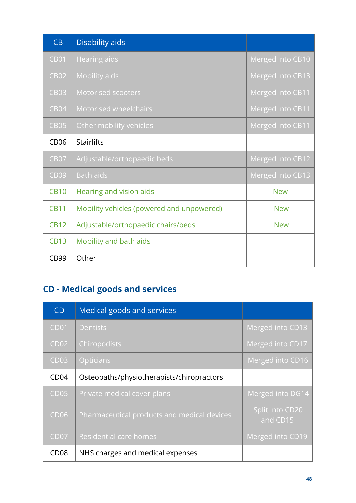| CB          | <b>Disability aids</b>                    |                  |
|-------------|-------------------------------------------|------------------|
| <b>CB01</b> | <b>Hearing aids</b>                       | Merged into CB10 |
| <b>CB02</b> | <b>Mobility aids</b>                      | Merged into CB13 |
| CB03        | <b>Motorised scooters</b>                 | Merged into CB11 |
| <b>CB04</b> | <b>Motorised wheelchairs</b>              | Merged into CB11 |
| <b>CB05</b> | Other mobility vehicles                   | Merged into CB11 |
| <b>CB06</b> | <b>Stairlifts</b>                         |                  |
| <b>CB07</b> | Adjustable/orthopaedic beds               | Merged into CB12 |
| <b>CB09</b> | <b>Bath aids</b>                          | Merged into CB13 |
| <b>CB10</b> | Hearing and vision aids                   | <b>New</b>       |
| <b>CB11</b> | Mobility vehicles (powered and unpowered) | <b>New</b>       |
| <b>CB12</b> | Adjustable/orthopaedic chairs/beds        | <b>New</b>       |
| <b>CB13</b> | Mobility and bath aids                    |                  |
| <b>CB99</b> | Other                                     |                  |

# **CD - Medical goods and services**

| CD               | <b>Medical goods and services</b>           |                             |
|------------------|---------------------------------------------|-----------------------------|
| CD <sub>01</sub> | <b>Dentists</b>                             | Merged into CD13            |
| <b>CD02</b>      | Chiropodists                                | Merged into CD17            |
| <b>CD03</b>      | Opticians                                   | Merged into CD16            |
| CD <sub>04</sub> | Osteopaths/physiotherapists/chiropractors   |                             |
| <b>CD05</b>      | Private medical cover plans                 | Merged into DG14            |
| <b>CD06</b>      | Pharmaceutical products and medical devices | Split into CD20<br>and CD15 |
| CD <sub>07</sub> | Residential care homes                      | Merged into CD19            |
| CD <sub>08</sub> | NHS charges and medical expenses            |                             |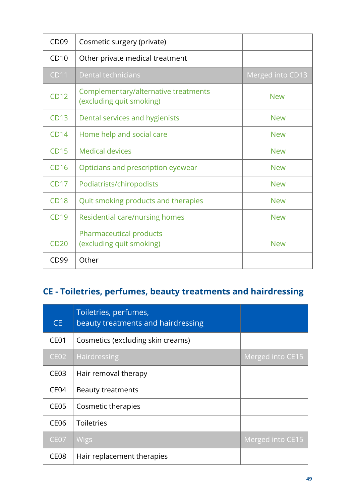| CD <sub>09</sub> | Cosmetic surgery (private)                                       |                  |
|------------------|------------------------------------------------------------------|------------------|
| CD10             | Other private medical treatment                                  |                  |
| <b>CD11</b>      | Dental technicians                                               | Merged into CD13 |
| <b>CD12</b>      | Complementary/alternative treatments<br>(excluding quit smoking) | <b>New</b>       |
| <b>CD13</b>      | Dental services and hygienists                                   | <b>New</b>       |
| CD14             | Home help and social care                                        | <b>New</b>       |
| CD15             | <b>Medical devices</b>                                           | <b>New</b>       |
| <b>CD16</b>      | Opticians and prescription eyewear                               | <b>New</b>       |
| CD17             | Podiatrists/chiropodists                                         | <b>New</b>       |
| <b>CD18</b>      | Quit smoking products and therapies                              | <b>New</b>       |
| <b>CD19</b>      | Residential care/nursing homes                                   | <b>New</b>       |
| <b>CD20</b>      | <b>Pharmaceutical products</b><br>(excluding quit smoking)       | <b>New</b>       |
| CD <sub>99</sub> | Other                                                            |                  |

## **CE - Toiletries, perfumes, beauty treatments and hairdressing**

| <b>CE</b>        | Toiletries, perfumes,<br>beauty treatments and hairdressing |                  |
|------------------|-------------------------------------------------------------|------------------|
| <b>CE01</b>      | Cosmetics (excluding skin creams)                           |                  |
| <b>CE02</b>      | Hairdressing                                                | Merged into CE15 |
| CE <sub>03</sub> | Hair removal therapy                                        |                  |
| CE <sub>04</sub> | <b>Beauty treatments</b>                                    |                  |
| CE <sub>05</sub> | Cosmetic therapies                                          |                  |
| CE <sub>06</sub> | <b>Toiletries</b>                                           |                  |
| CE <sub>07</sub> | Wigs                                                        | Merged into CE15 |
| CE <sub>08</sub> | Hair replacement therapies                                  |                  |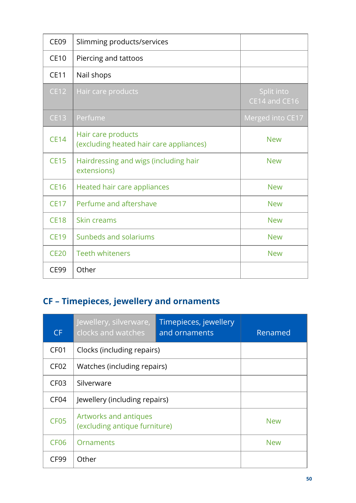| CE <sub>09</sub> | Slimming products/services                                    |                             |
|------------------|---------------------------------------------------------------|-----------------------------|
| <b>CE10</b>      | Piercing and tattoos                                          |                             |
| <b>CE11</b>      | Nail shops                                                    |                             |
| <b>CE12</b>      | Hair care products                                            | Split into<br>CE14 and CE16 |
| <b>CE13</b>      | Perfume                                                       | Merged into CE17            |
| <b>CE14</b>      | Hair care products<br>(excluding heated hair care appliances) | <b>New</b>                  |
| <b>CE15</b>      | Hairdressing and wigs (including hair<br>extensions)          | <b>New</b>                  |
| <b>CE16</b>      | Heated hair care appliances                                   | <b>New</b>                  |
| <b>CE17</b>      | Perfume and aftershave                                        | <b>New</b>                  |
| <b>CE18</b>      | Skin creams                                                   | <b>New</b>                  |
| <b>CE19</b>      | Sunbeds and solariums                                         | <b>New</b>                  |
| <b>CE20</b>      | <b>Teeth whiteners</b>                                        | <b>New</b>                  |
| <b>CE99</b>      | Other                                                         |                             |

## **CF – Timepieces, jewellery and ornaments**

| CF               | Jewellery, silverware,<br>clocks and watches           | Timepieces, jewellery<br>and ornaments | Renamed    |
|------------------|--------------------------------------------------------|----------------------------------------|------------|
| CF <sub>01</sub> | Clocks (including repairs)                             |                                        |            |
| CF <sub>02</sub> | Watches (including repairs)                            |                                        |            |
| CF <sub>03</sub> | Silverware                                             |                                        |            |
| CF <sub>04</sub> | Jewellery (including repairs)                          |                                        |            |
| CF <sub>05</sub> | Artworks and antiques<br>(excluding antique furniture) |                                        | <b>New</b> |
| CF <sub>06</sub> | Ornaments                                              |                                        | <b>New</b> |
| CF99             | Other                                                  |                                        |            |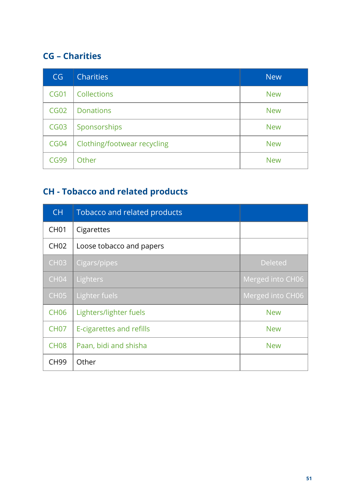#### **CG – Charities**

| CG               | <b>Charities</b>            | <b>New</b> |
|------------------|-----------------------------|------------|
| <b>CG01</b>      | Collections                 | <b>New</b> |
| <b>CG02</b>      | <b>Donations</b>            | <b>New</b> |
| CG <sub>03</sub> | Sponsorships                | <b>New</b> |
| CGO4             | Clothing/footwear recycling | <b>New</b> |
| <b>CG99</b>      | Other                       | <b>New</b> |

## **CH - Tobacco and related products**

| CH          | Tobacco and related products |                  |
|-------------|------------------------------|------------------|
| <b>CH01</b> | Cigarettes                   |                  |
| <b>CH02</b> | Loose tobacco and papers     |                  |
| <b>CH03</b> | Cigars/pipes                 | <b>Deleted</b>   |
| <b>CH04</b> | Lighters                     | Merged into CH06 |
| <b>CH05</b> | Lighter fuels                | Merged into CH06 |
| <b>CH06</b> | Lighters/lighter fuels       | <b>New</b>       |
| <b>CH07</b> | E-cigarettes and refills     | <b>New</b>       |
| <b>CH08</b> | Paan, bidi and shisha        | <b>New</b>       |
| <b>CH99</b> | Other                        |                  |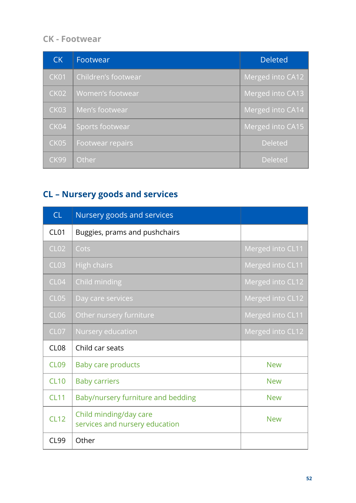#### **CK - Footwear**

| <b>CK</b>   | Footwear            | <b>Deleted</b>   |
|-------------|---------------------|------------------|
| CK01        | Children's footwear | Merged into CA12 |
| <b>CK02</b> | Women's footwear    | Merged into CA13 |
| <b>CK03</b> | Men's footwear      | Merged into CA14 |
| CK04        | Sports footwear     | Merged into CA15 |
| CK05        | Footwear repairs    | <b>Deleted</b>   |
| <b>CK99</b> | Other               | <b>Deleted</b>   |

## **CL – Nursery goods and services**

| CL               | Nursery goods and services                               |                  |
|------------------|----------------------------------------------------------|------------------|
| CL <sub>01</sub> | Buggies, prams and pushchairs                            |                  |
| CLO2             | Cots                                                     | Merged into CL11 |
| CLO3             | <b>High chairs</b>                                       | Merged into CL11 |
| CL04             | Child minding                                            | Merged into CL12 |
| CL05             | Day care services                                        | Merged into CL12 |
| CL06             | Other nursery furniture                                  | Merged into CL11 |
| CL <sub>07</sub> | Nursery education                                        | Merged into CL12 |
| CL <sub>08</sub> | Child car seats                                          |                  |
| <b>CL09</b>      | <b>Baby care products</b>                                | <b>New</b>       |
| <b>CL10</b>      | <b>Baby carriers</b>                                     | <b>New</b>       |
| CL11             | Baby/nursery furniture and bedding                       | <b>New</b>       |
| <b>CL12</b>      | Child minding/day care<br>services and nursery education | <b>New</b>       |
| <b>CL99</b>      | Other                                                    |                  |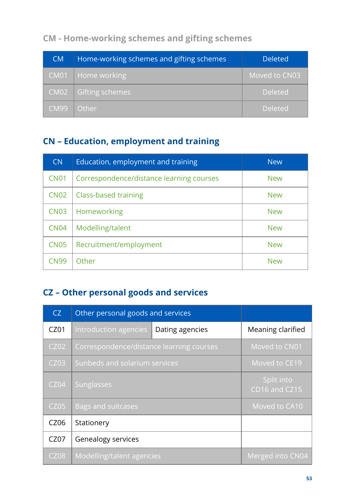## **CM - Home-working schemes and gifting schemes**

| <b>CM</b> | Home-working schemes and gifting schemes | <b>Deleted</b> |
|-----------|------------------------------------------|----------------|
|           | CM01   Home working                      | Moved to CN03  |
|           | CM02   Gifting schemes                   | <b>Deleted</b> |
| CM99      | Other                                    | Deleted        |

## **CN – Education, employment and training**

| CN          | Education, employment and training       | <b>New</b> |
|-------------|------------------------------------------|------------|
| <b>CN01</b> | Correspondence/distance learning courses | <b>New</b> |
| <b>CN02</b> | Class-based training                     | <b>New</b> |
| <b>CN03</b> | Homeworking                              | <b>New</b> |
| <b>CN04</b> | Modelling/talent                         | <b>New</b> |
| <b>CN05</b> | Recruitment/employment                   | <b>New</b> |
| <b>CN99</b> | Other                                    | <b>New</b> |

## **CZ – Other personal goods and services**

| CZ          | Other personal goods and services        |                             |
|-------------|------------------------------------------|-----------------------------|
| CZ01        | Introduction agencies<br>Dating agencies | Meaning clarified           |
| <b>CZ02</b> | Correspondence/distance learning courses | Moved to CN01               |
| CZ03        | Sunbeds and solarium services            | Moved to CE19               |
| CZ04        | Sunglasses                               | Split into<br>CD16 and CZ15 |
| CZ05        | <b>Bags and suitcases</b>                | Moved to CA10               |
| CZ06        | Stationery                               |                             |
| CZ07        | <b>Genealogy services</b>                |                             |
| <b>CZ08</b> | Modelling/talent agencies                | Merged into CN04            |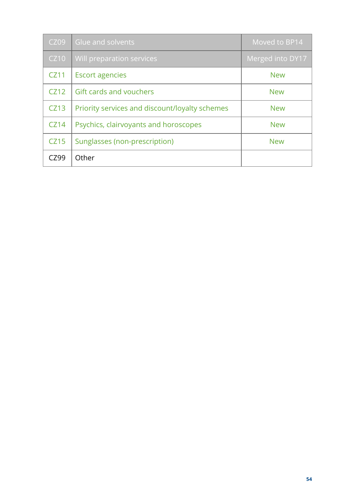| <b>CZ09</b> | Glue and solvents                              | Moved to BP14    |
|-------------|------------------------------------------------|------------------|
| <b>CZ10</b> | Will preparation services                      | Merged into DY17 |
| CZ11        | <b>Escort agencies</b>                         | <b>New</b>       |
| CZ12        | Gift cards and vouchers                        | <b>New</b>       |
| <b>CZ13</b> | Priority services and discount/loyalty schemes | <b>New</b>       |
| CZ14        | Psychics, clairvoyants and horoscopes          | <b>New</b>       |
| <b>CZ15</b> | Sunglasses (non-prescription)                  | <b>New</b>       |
| CZ99        | Other                                          |                  |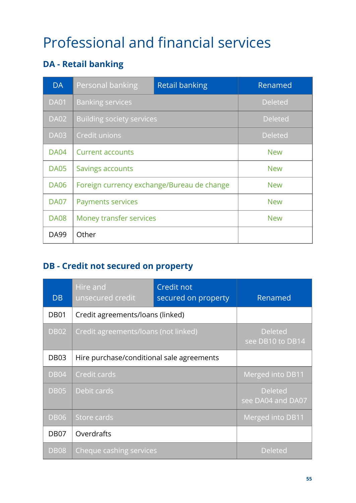# Professional and financial services

## **DA - Retail banking**

| <b>DA</b>   | Personal banking                           | <b>Retail banking</b> | Renamed        |
|-------------|--------------------------------------------|-----------------------|----------------|
| <b>DA01</b> | <b>Banking services</b>                    |                       | <b>Deleted</b> |
| <b>DA02</b> | <b>Building society services</b>           |                       | <b>Deleted</b> |
| <b>DA03</b> | Credit unions                              |                       | <b>Deleted</b> |
| <b>DA04</b> | <b>Current accounts</b>                    |                       | <b>New</b>     |
| <b>DA05</b> | <b>Savings accounts</b>                    |                       | <b>New</b>     |
| <b>DA06</b> | Foreign currency exchange/Bureau de change |                       | <b>New</b>     |
| <b>DA07</b> | <b>Payments services</b>                   |                       | <b>New</b>     |
| <b>DA08</b> | Money transfer services                    |                       | <b>New</b>     |
| <b>DA99</b> | Other                                      |                       |                |

## **DB - Credit not secured on property**

| D <sub>B</sub>   | Hire and<br>unsecured credit              | Credit not<br>secured on property | Renamed                             |
|------------------|-------------------------------------------|-----------------------------------|-------------------------------------|
| DB <sub>01</sub> | Credit agreements/loans (linked)          |                                   |                                     |
| DB <sub>02</sub> | Credit agreements/loans (not linked)      |                                   | <b>Deleted</b><br>see DB10 to DB14  |
| DB03             | Hire purchase/conditional sale agreements |                                   |                                     |
| <b>DB04</b>      | Credit cards                              |                                   | Merged into DB11                    |
| <b>DB05</b>      | Debit cards                               |                                   | <b>Deleted</b><br>see DA04 and DA07 |
| <b>DB06</b>      | Store cards                               |                                   | Merged into DB11                    |
| DB <sub>07</sub> | Overdrafts                                |                                   |                                     |
| <b>DB08</b>      | Cheque cashing services                   |                                   | <b>Deleted</b>                      |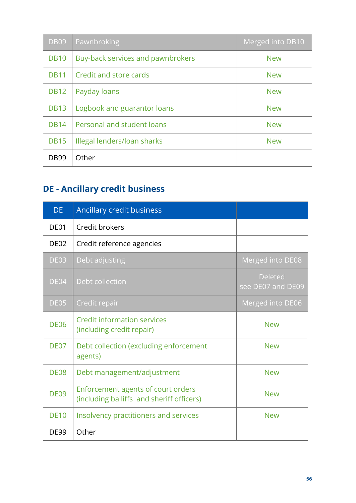| <b>DB09</b> | Pawnbroking                       | Merged into DB10 |
|-------------|-----------------------------------|------------------|
| <b>DB10</b> | Buy-back services and pawnbrokers | <b>New</b>       |
| <b>DB11</b> | Credit and store cards            | <b>New</b>       |
| <b>DB12</b> | Payday loans                      | <b>New</b>       |
| <b>DB13</b> | Logbook and guarantor loans       | <b>New</b>       |
| <b>DB14</b> | Personal and student loans        | <b>New</b>       |
| <b>DB15</b> | Illegal lenders/loan sharks       | <b>New</b>       |
| <b>DB99</b> | Other                             |                  |

## **DE - Ancillary credit business**

| <b>DE</b>        | Ancillary credit business                                                       |                                     |
|------------------|---------------------------------------------------------------------------------|-------------------------------------|
| DE01             | Credit brokers                                                                  |                                     |
| DE <sub>02</sub> | Credit reference agencies                                                       |                                     |
| <b>DE03</b>      | Debt adjusting                                                                  | Merged into DE08                    |
| DE04             | Debt collection                                                                 | <b>Deleted</b><br>see DE07 and DE09 |
| DE05             | Credit repair                                                                   | Merged into DE06                    |
| <b>DE06</b>      | <b>Credit information services</b><br>(including credit repair)                 | <b>New</b>                          |
| DE07             | Debt collection (excluding enforcement<br>agents)                               | <b>New</b>                          |
| <b>DE08</b>      | Debt management/adjustment                                                      | <b>New</b>                          |
| <b>DE09</b>      | Enforcement agents of court orders<br>(including bailiffs and sheriff officers) | <b>New</b>                          |
| <b>DE10</b>      | Insolvency practitioners and services                                           | <b>New</b>                          |
| <b>DE99</b>      | Other                                                                           |                                     |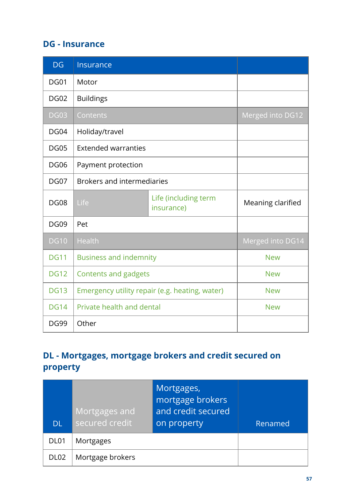#### **DG - Insurance**

| <b>DG</b>   | Insurance                                      |  |                   |
|-------------|------------------------------------------------|--|-------------------|
| <b>DG01</b> | Motor                                          |  |                   |
| <b>DG02</b> | <b>Buildings</b>                               |  |                   |
| <b>DG03</b> | Contents                                       |  | Merged into DG12  |
| <b>DG04</b> | Holiday/travel                                 |  |                   |
| <b>DG05</b> | <b>Extended warranties</b>                     |  |                   |
| <b>DG06</b> | Payment protection                             |  |                   |
| <b>DG07</b> | <b>Brokers and intermediaries</b>              |  |                   |
| <b>DG08</b> | Life (including term<br>Life<br>insurance)     |  | Meaning clarified |
| <b>DG09</b> | Pet                                            |  |                   |
| <b>DG10</b> | Health                                         |  | Merged into DG14  |
| <b>DG11</b> | <b>Business and indemnity</b>                  |  | <b>New</b>        |
| <b>DG12</b> | <b>Contents and gadgets</b>                    |  | <b>New</b>        |
| <b>DG13</b> | Emergency utility repair (e.g. heating, water) |  | <b>New</b>        |
| <b>DG14</b> | Private health and dental                      |  | <b>New</b>        |
| <b>DG99</b> | Other                                          |  |                   |

## **DL - Mortgages, mortgage brokers and credit secured on property**

| <b>DL</b>        | Mortgages and<br>secured credit | Mortgages,<br>mortgage brokers<br>and credit secured<br>on property | Renamed |
|------------------|---------------------------------|---------------------------------------------------------------------|---------|
| DL <sub>01</sub> | Mortgages                       |                                                                     |         |
| <b>DL02</b>      | Mortgage brokers                |                                                                     |         |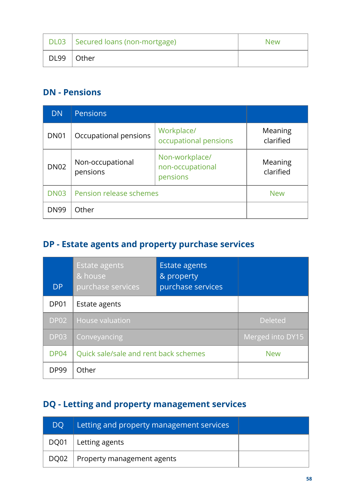|             | DL03   Secured loans (non-mortgage) | <b>New</b> |
|-------------|-------------------------------------|------------|
| <b>DL99</b> | Other                               |            |

#### **DN - Pensions**

| <b>DN</b>   | <b>Pensions</b>              |                                                |                      |
|-------------|------------------------------|------------------------------------------------|----------------------|
| <b>DN01</b> | Occupational pensions        | Workplace/<br>occupational pensions            | Meaning<br>clarified |
| <b>DN02</b> | Non-occupational<br>pensions | Non-workplace/<br>non-occupational<br>pensions | Meaning<br>clarified |
| <b>DN03</b> | Pension release schemes      |                                                | <b>New</b>           |
| <b>DN99</b> | Other                        |                                                |                      |

## **DP - Estate agents and property purchase services**

| <b>DP</b>   | <b>Estate agents</b><br>& house<br>purchase services | <b>Estate agents</b><br>& property<br>purchase services |                  |
|-------------|------------------------------------------------------|---------------------------------------------------------|------------------|
| DP01        | Estate agents                                        |                                                         |                  |
| <b>DP02</b> | <b>House valuation</b>                               |                                                         | <b>Deleted</b>   |
| <b>DP03</b> | Conveyancing                                         |                                                         | Merged into DY15 |
| <b>DP04</b> | Quick sale/sale and rent back schemes                |                                                         | <b>New</b>       |
| <b>DP99</b> | Other                                                |                                                         |                  |

## **DQ - Letting and property management services**

| DO. | Letting and property management services |  |
|-----|------------------------------------------|--|
|     | $DQ01$   Letting agents                  |  |
|     | DQ02   Property management agents        |  |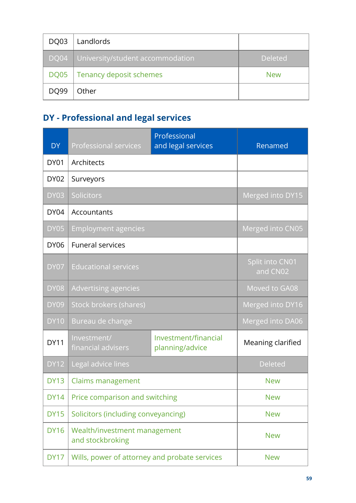| DQ03 | Landlords                             |                |
|------|---------------------------------------|----------------|
|      | DQ04 University/student accommodation | <b>Deleted</b> |
|      | DQ05   Tenancy deposit schemes        | <b>New</b>     |
| DQ99 | Other                                 |                |

# **DY - Professional and legal services**

| <b>DY</b>        | <b>Professional services</b>                     | Professional<br>and legal services      | Renamed                     |
|------------------|--------------------------------------------------|-----------------------------------------|-----------------------------|
| DY01             | Architects                                       |                                         |                             |
| DY <sub>02</sub> | Surveyors                                        |                                         |                             |
| <b>DY03</b>      | Solicitors                                       |                                         | Merged into DY15            |
| DY <sub>04</sub> | Accountants                                      |                                         |                             |
| <b>DY05</b>      | <b>Employment agencies</b>                       |                                         | Merged into CN05            |
| <b>DY06</b>      | <b>Funeral services</b>                          |                                         |                             |
| DY07             | <b>Educational services</b>                      |                                         | Split into CN01<br>and CN02 |
| <b>DY08</b>      | <b>Advertising agencies</b>                      |                                         | Moved to GA08               |
| <b>DY09</b>      | Stock brokers (shares)                           |                                         | Merged into DY16            |
| <b>DY10</b>      | Bureau de change                                 |                                         | Merged into DA06            |
| <b>DY11</b>      | Investment/<br>financial advisers                | Investment/financial<br>planning/advice | Meaning clarified           |
| <b>DY12</b>      | Legal advice lines                               |                                         | <b>Deleted</b>              |
| <b>DY13</b>      | <b>Claims management</b>                         |                                         | <b>New</b>                  |
| <b>DY14</b>      | Price comparison and switching                   |                                         | <b>New</b>                  |
| <b>DY15</b>      | Solicitors (including conveyancing)              |                                         | <b>New</b>                  |
| <b>DY16</b>      | Wealth/investment management<br>and stockbroking |                                         | <b>New</b>                  |
| <b>DY17</b>      | Wills, power of attorney and probate services    |                                         | <b>New</b>                  |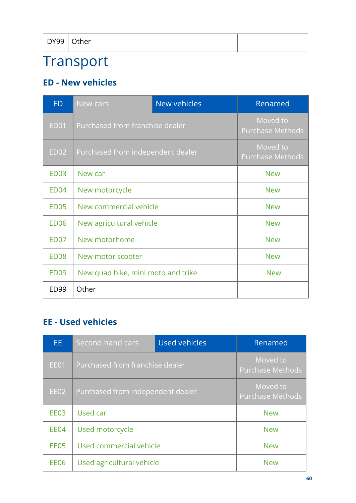# **Transport**

## **ED - New vehicles**

| <b>ED</b>        | New cars                           | <b>New vehicles</b> | Renamed                             |
|------------------|------------------------------------|---------------------|-------------------------------------|
| <b>ED01</b>      | Purchased from franchise dealer    |                     | Moved to<br><b>Purchase Methods</b> |
| <b>ED02</b>      | Purchased from independent dealer  |                     | Moved to<br><b>Purchase Methods</b> |
| <b>ED03</b>      | New car                            |                     | <b>New</b>                          |
| ED <sub>04</sub> | New motorcycle                     |                     | <b>New</b>                          |
| <b>ED05</b>      | New commercial vehicle             |                     | <b>New</b>                          |
| <b>ED06</b>      | New agricultural vehicle           |                     | <b>New</b>                          |
| ED07             | New motorhome                      |                     | <b>New</b>                          |
| <b>ED08</b>      | New motor scooter                  |                     | <b>New</b>                          |
| ED <sub>09</sub> | New quad bike, mini moto and trike |                     | <b>New</b>                          |
| <b>ED99</b>      | Other                              |                     |                                     |

## **EE - Used vehicles**

| EE.         | Second hand cars                  | <b>Used vehicles</b> | Renamed                             |
|-------------|-----------------------------------|----------------------|-------------------------------------|
| EE01        | Purchased from franchise dealer   |                      | Moved to<br><b>Purchase Methods</b> |
| <b>EE02</b> | Purchased from independent dealer |                      | Moved to<br><b>Purchase Methods</b> |
| <b>EE03</b> | Used car                          |                      | <b>New</b>                          |
| EE04        | Used motorcycle                   |                      | <b>New</b>                          |
| EE05        | Used commercial vehicle           |                      | <b>New</b>                          |
| <b>EE06</b> | Used agricultural vehicle         |                      | <b>New</b>                          |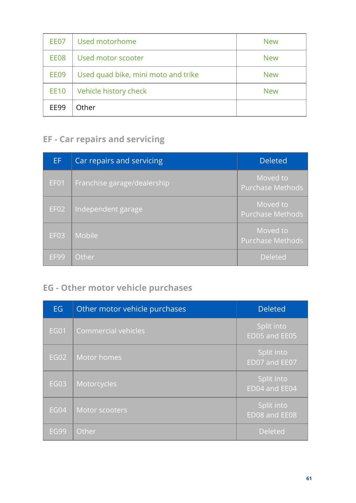| EE07        | Used motorhome                      | <b>New</b> |
|-------------|-------------------------------------|------------|
| EE08        | Used motor scooter                  | <b>New</b> |
| EE09        | Used quad bike, mini moto and trike | <b>New</b> |
| <b>EE10</b> | Vehicle history check               | <b>New</b> |
| FF99        | Other                               |            |

## **EF - Car repairs and servicing**

| EF               | Car repairs and servicing   | <b>Deleted</b>                      |
|------------------|-----------------------------|-------------------------------------|
| EF01             | Franchise garage/dealership | Moved to<br><b>Purchase Methods</b> |
| EF <sub>02</sub> | Independent garage          | Moved to<br>Purchase Methods        |
| <b>EF03</b>      | Mobile                      | Moved to<br><b>Purchase Methods</b> |
| EF99             | Other                       | <b>Deleted</b>                      |

## **EG - Other motor vehicle purchases**

| <b>EG</b>   | Other motor vehicle purchases | <b>Deleted</b>                     |
|-------------|-------------------------------|------------------------------------|
| <b>EG01</b> | Commercial vehicles           | Split into<br>ED05 and EE05        |
| <b>EG02</b> | Motor homes                   | Split into<br>ED07 and EE07        |
| <b>EG03</b> | Motorcycles                   | Split into<br>ED04 and EE04        |
| <b>EG04</b> | Motor scooters                | Split into<br><b>ED08 and EE08</b> |
| <b>EG99</b> | Other                         | <b>Deleted</b>                     |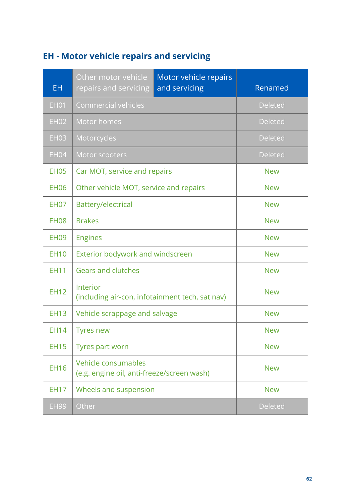## **EH - Motor vehicle repairs and servicing**

| EH.         | Other motor vehicle<br>repairs and servicing                      | Motor vehicle repairs<br>and servicing | Renamed        |
|-------------|-------------------------------------------------------------------|----------------------------------------|----------------|
| <b>EH01</b> | <b>Commercial vehicles</b>                                        |                                        | <b>Deleted</b> |
| <b>EH02</b> | Motor homes                                                       |                                        | <b>Deleted</b> |
| <b>EH03</b> | Motorcycles                                                       |                                        | <b>Deleted</b> |
| EHO4        | Motor scooters                                                    |                                        | <b>Deleted</b> |
| <b>EH05</b> | Car MOT, service and repairs                                      |                                        | <b>New</b>     |
| <b>EH06</b> | Other vehicle MOT, service and repairs                            |                                        | <b>New</b>     |
| <b>EH07</b> | Battery/electrical                                                |                                        | <b>New</b>     |
| <b>EH08</b> | <b>Brakes</b>                                                     |                                        | <b>New</b>     |
| <b>EH09</b> | <b>Engines</b>                                                    |                                        | <b>New</b>     |
| <b>EH10</b> | <b>Exterior bodywork and windscreen</b>                           |                                        | <b>New</b>     |
| <b>EH11</b> | <b>Gears and clutches</b>                                         |                                        | <b>New</b>     |
| <b>EH12</b> | Interior<br>(including air-con, infotainment tech, sat nav)       |                                        | <b>New</b>     |
| <b>EH13</b> | Vehicle scrappage and salvage                                     |                                        | <b>New</b>     |
| <b>EH14</b> | <b>Tyres new</b>                                                  |                                        | <b>New</b>     |
| <b>EH15</b> | Tyres part worn                                                   |                                        | <b>New</b>     |
| <b>EH16</b> | Vehicle consumables<br>(e.g. engine oil, anti-freeze/screen wash) |                                        | <b>New</b>     |
| <b>EH17</b> | Wheels and suspension                                             |                                        | <b>New</b>     |
| <b>EH99</b> | Other                                                             |                                        | <b>Deleted</b> |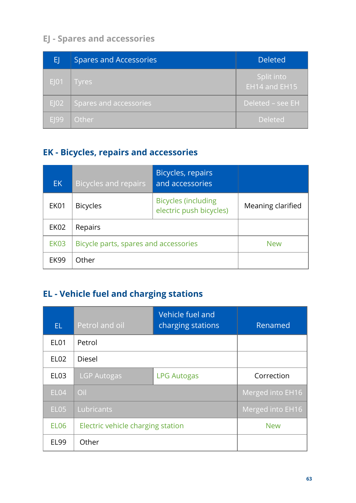## **EJ - Spares and accessories**

| EJ               | <b>Spares and Accessories</b> | <b>Deleted</b>              |
|------------------|-------------------------------|-----------------------------|
| $E$ ] 01         | <b>Tyres</b>                  | Split into<br>EH14 and EH15 |
| E[02]            | Spares and accessories        | Deleted - see EH            |
| E <sub>199</sub> | Other                         | <b>Deleted</b>              |

## **EK - Bicycles, repairs and accessories**

| EK.         | <b>Bicycles and repairs</b>           | <b>Bicycles, repairs</b><br>and accessories           |                   |
|-------------|---------------------------------------|-------------------------------------------------------|-------------------|
| EK01        | <b>Bicycles</b>                       | <b>Bicycles (including</b><br>electric push bicycles) | Meaning clarified |
| EK02        | Repairs                               |                                                       |                   |
| <b>EK03</b> | Bicycle parts, spares and accessories |                                                       | <b>New</b>        |
| <b>EK99</b> | Other                                 |                                                       |                   |

## **EL - Vehicle fuel and charging stations**

| EL.              | Petrol and oil                    | Vehicle fuel and<br>charging stations | Renamed          |
|------------------|-----------------------------------|---------------------------------------|------------------|
| EL <sub>01</sub> | Petrol                            |                                       |                  |
| EL <sub>02</sub> | <b>Diesel</b>                     |                                       |                  |
| EL <sub>03</sub> | <b>LGP Autogas</b>                | <b>LPG Autogas</b>                    | Correction       |
| EL <sub>04</sub> | Oil                               |                                       | Merged into EH16 |
| <b>EL05</b>      | Lubricants                        |                                       | Merged into EH16 |
| EL <sub>06</sub> | Electric vehicle charging station |                                       | <b>New</b>       |
| <b>EL99</b>      | Other                             |                                       |                  |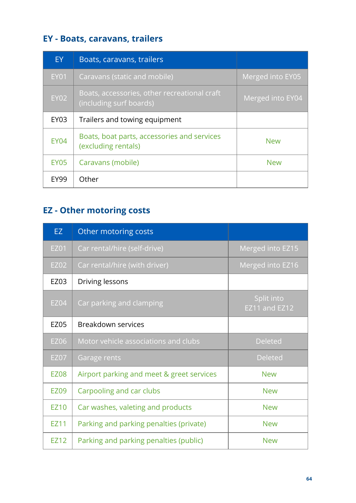## **EY - Boats, caravans, trailers**

| EY.         | Boats, caravans, trailers                                               |                  |
|-------------|-------------------------------------------------------------------------|------------------|
| <b>EY01</b> | Caravans (static and mobile)                                            | Merged into EY05 |
| <b>EY02</b> | Boats, accessories, other recreational craft<br>(including surf boards) | Merged into EY04 |
| <b>EY03</b> | Trailers and towing equipment                                           |                  |
| <b>EY04</b> | Boats, boat parts, accessories and services<br>(excluding rentals)      | <b>New</b>       |
| <b>EY05</b> | Caravans (mobile)                                                       | <b>New</b>       |
| FY99        | Other                                                                   |                  |

## **EZ - Other motoring costs**

| EZ.         | Other motoring costs                      |                             |
|-------------|-------------------------------------------|-----------------------------|
| <b>EZ01</b> | Car rental/hire (self-drive)              | Merged into EZ15            |
| <b>EZ02</b> | Car rental/hire (with driver)             | Merged into EZ16            |
| EZ03        | Driving lessons                           |                             |
| <b>EZ04</b> | Car parking and clamping                  | Split into<br>EZ11 and EZ12 |
| <b>EZ05</b> | Breakdown services                        |                             |
| <b>EZ06</b> | Motor vehicle associations and clubs      | <b>Deleted</b>              |
| <b>EZ07</b> | Garage rents                              | <b>Deleted</b>              |
| <b>EZ08</b> | Airport parking and meet & greet services | <b>New</b>                  |
| <b>EZ09</b> | Carpooling and car clubs                  | <b>New</b>                  |
| <b>EZ10</b> | Car washes, valeting and products         | <b>New</b>                  |
| EZ11        | Parking and parking penalties (private)   | <b>New</b>                  |
| EZ12        | Parking and parking penalties (public)    | <b>New</b>                  |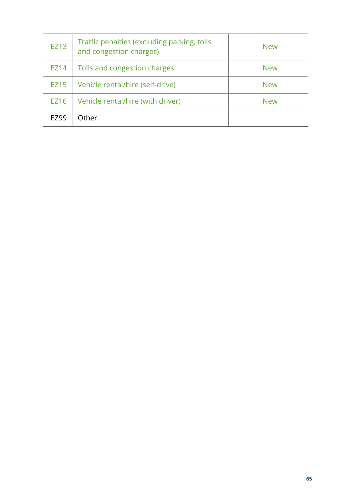| EZ13 | Traffic penalties (excluding parking, tolls<br>and congestion charges) | <b>New</b> |
|------|------------------------------------------------------------------------|------------|
| EZ14 | Tolls and congestion charges                                           | <b>New</b> |
| EZ15 | Vehicle rental/hire (self-drive)                                       | <b>New</b> |
| EZ16 | Vehicle rental/hire (with driver)                                      | <b>New</b> |
| F799 | Other                                                                  |            |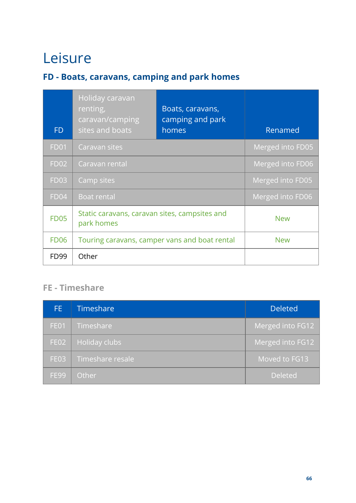# Leisure

## **FD - Boats, caravans, camping and park homes**

| <b>FD</b>   | Holiday caravan<br>renting,<br>caravan/camping<br>sites and boats | Boats, caravans,<br>camping and park<br>homes | Renamed          |
|-------------|-------------------------------------------------------------------|-----------------------------------------------|------------------|
| <b>FD01</b> | Caravan sites                                                     |                                               | Merged into FD05 |
| <b>FD02</b> | Caravan rental                                                    |                                               | Merged into FD06 |
| <b>FD03</b> | Camp sites                                                        |                                               | Merged into FD05 |
| <b>FD04</b> | <b>Boat rental</b>                                                |                                               | Merged into FD06 |
| <b>FD05</b> | Static caravans, caravan sites, campsites and<br>park homes       |                                               | <b>New</b>       |
| <b>FD06</b> | Touring caravans, camper vans and boat rental                     |                                               | <b>New</b>       |
| <b>FD99</b> | Other                                                             |                                               |                  |

#### **FE - Timeshare**

| FE.         | Timeshare        | <b>Deleted</b>   |
|-------------|------------------|------------------|
| FE01        | Timeshare        | Merged into FG12 |
| FE02        | Holiday clubs    | Merged into FG12 |
| FE03        | Timeshare resale | Moved to FG13    |
| <b>FE99</b> | Other            | <b>Deleted</b>   |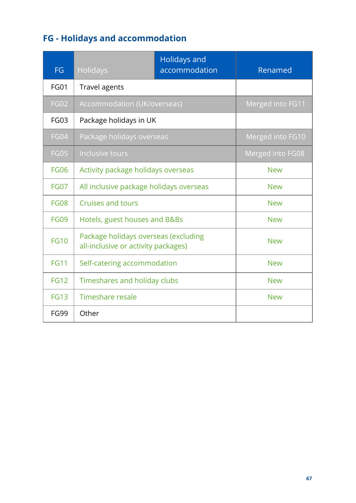# **FG - Holidays and accommodation**

| <b>FG</b>   | Holidays                                                                    | <b>Holidays and</b><br>accommodation | Renamed          |
|-------------|-----------------------------------------------------------------------------|--------------------------------------|------------------|
| <b>FG01</b> | Travel agents                                                               |                                      |                  |
| <b>FG02</b> | Accommodation (UK/overseas)                                                 |                                      | Merged into FG11 |
| <b>FG03</b> | Package holidays in UK                                                      |                                      |                  |
| <b>FG04</b> | Package holidays overseas                                                   |                                      | Merged into FG10 |
| <b>FG05</b> | Inclusive tours                                                             |                                      | Merged into FG08 |
| <b>FG06</b> | Activity package holidays overseas                                          |                                      | <b>New</b>       |
| <b>FG07</b> | All inclusive package holidays overseas                                     |                                      | <b>New</b>       |
| <b>FG08</b> | Cruises and tours                                                           |                                      | <b>New</b>       |
| <b>FG09</b> | Hotels, guest houses and B&Bs                                               |                                      | <b>New</b>       |
| <b>FG10</b> | Package holidays overseas (excluding<br>all-inclusive or activity packages) |                                      | <b>New</b>       |
| <b>FG11</b> | Self-catering accommodation                                                 |                                      | <b>New</b>       |
| <b>FG12</b> | Timeshares and holiday clubs                                                |                                      | <b>New</b>       |
| <b>FG13</b> | Timeshare resale                                                            |                                      | <b>New</b>       |
| <b>FG99</b> | Other                                                                       |                                      |                  |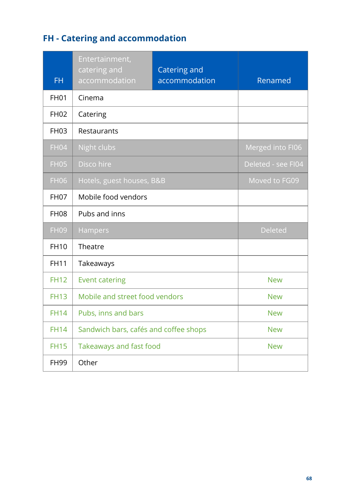# **FH - Catering and accommodation**

| <b>FH</b>   | Entertainment,<br>catering and<br>accommodation | Catering and<br>accommodation | Renamed            |
|-------------|-------------------------------------------------|-------------------------------|--------------------|
| <b>FH01</b> | Cinema                                          |                               |                    |
| <b>FH02</b> | Catering                                        |                               |                    |
| <b>FH03</b> | Restaurants                                     |                               |                    |
| <b>FH04</b> | Night clubs                                     |                               | Merged into FI06   |
| <b>FH05</b> | Disco hire                                      |                               | Deleted - see FI04 |
| <b>FH06</b> | Hotels, guest houses, B&B                       |                               | Moved to FG09      |
| <b>FH07</b> | Mobile food vendors                             |                               |                    |
| <b>FH08</b> | Pubs and inns                                   |                               |                    |
| <b>FH09</b> | <b>Hampers</b>                                  |                               | <b>Deleted</b>     |
| <b>FH10</b> | Theatre                                         |                               |                    |
| <b>FH11</b> | Takeaways                                       |                               |                    |
| <b>FH12</b> | <b>Event catering</b>                           |                               | <b>New</b>         |
| <b>FH13</b> | Mobile and street food vendors                  |                               | <b>New</b>         |
| <b>FH14</b> | Pubs, inns and bars                             |                               | <b>New</b>         |
| <b>FH14</b> | Sandwich bars, cafés and coffee shops           |                               | <b>New</b>         |
| <b>FH15</b> | Takeaways and fast food                         |                               | <b>New</b>         |
| <b>FH99</b> | Other                                           |                               |                    |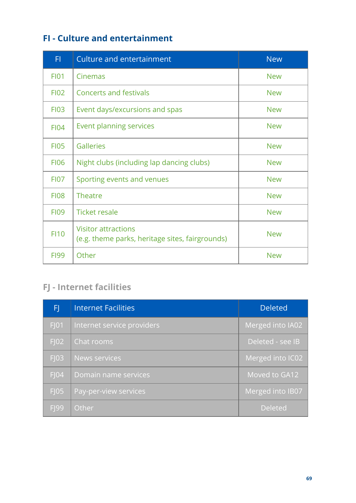## **FI - Culture and entertainment**

| FI          | <b>Culture and entertainment</b>                                              | <b>New</b> |
|-------------|-------------------------------------------------------------------------------|------------|
| <b>FI01</b> | Cinemas                                                                       | <b>New</b> |
| <b>FI02</b> | <b>Concerts and festivals</b>                                                 | <b>New</b> |
| <b>FI03</b> | Event days/excursions and spas                                                | <b>New</b> |
| F104        | Event planning services                                                       | <b>New</b> |
| <b>FI05</b> | <b>Galleries</b>                                                              | <b>New</b> |
| <b>FI06</b> | Night clubs (including lap dancing clubs)                                     | <b>New</b> |
| <b>FI07</b> | Sporting events and venues                                                    | <b>New</b> |
| <b>FI08</b> | <b>Theatre</b>                                                                | <b>New</b> |
| <b>FI09</b> | <b>Ticket resale</b>                                                          | <b>New</b> |
| <b>FI10</b> | <b>Visitor attractions</b><br>(e.g. theme parks, heritage sites, fairgrounds) | <b>New</b> |
| <b>FI99</b> | Other                                                                         | <b>New</b> |

#### **FJ - Internet facilities**

| FJ,              | <b>Internet Facilities</b> | <b>Deleted</b>   |
|------------------|----------------------------|------------------|
| $F$ ] 01         | Internet service providers | Merged into IA02 |
| $F$ ] 02         | Chat rooms                 | Deleted - see IB |
| $F$ ] 03         | <b>News services</b>       | Merged into IC02 |
| $F$ ] 04         | Domain name services       | Moved to GA12    |
| $F$ ] 05         | Pay-per-view services      | Merged into IB07 |
| F <sub>199</sub> | Other                      | <b>Deleted</b>   |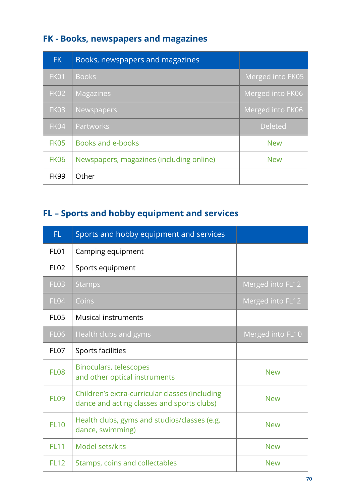## **FK - Books, newspapers and magazines**

| <b>FK</b>   | Books, newspapers and magazines          |                  |
|-------------|------------------------------------------|------------------|
| <b>FK01</b> | <b>Books</b>                             | Merged into FK05 |
| <b>FK02</b> | Magazines                                | Merged into FK06 |
| <b>FK03</b> | Newspapers                               | Merged into FK06 |
| FK04        | Partworks                                | <b>Deleted</b>   |
| <b>FK05</b> | Books and e-books                        | <b>New</b>       |
| <b>FK06</b> | Newspapers, magazines (including online) | <b>New</b>       |
| <b>FK99</b> | Other                                    |                  |

# **FL – Sports and hobby equipment and services**

| FL.              | Sports and hobby equipment and services                                                      |                  |
|------------------|----------------------------------------------------------------------------------------------|------------------|
| <b>FL01</b>      | Camping equipment                                                                            |                  |
| <b>FL02</b>      | Sports equipment                                                                             |                  |
| <b>FL03</b>      | <b>Stamps</b>                                                                                | Merged into FL12 |
| <b>FL04</b>      | Coins                                                                                        | Merged into FL12 |
| FL <sub>05</sub> | <b>Musical instruments</b>                                                                   |                  |
| <b>FL06</b>      | Health clubs and gyms                                                                        | Merged into FL10 |
| FL <sub>07</sub> | Sports facilities                                                                            |                  |
| FL <sub>08</sub> | <b>Binoculars, telescopes</b><br>and other optical instruments                               | <b>New</b>       |
| <b>FL09</b>      | Children's extra-curricular classes (including<br>dance and acting classes and sports clubs) | <b>New</b>       |
| <b>FL10</b>      | Health clubs, gyms and studios/classes (e.g.<br>dance, swimming)                             | <b>New</b>       |
| <b>FL11</b>      | Model sets/kits                                                                              | <b>New</b>       |
| <b>FL12</b>      | Stamps, coins and collectables                                                               | <b>New</b>       |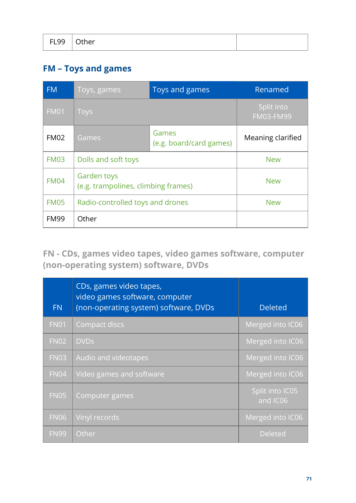| <b>FL99</b> | $\vert$ Other |  |
|-------------|---------------|--|
|             |               |  |

#### **FM – Toys and games**

| <b>FM</b>        | Toys, games                                               | Toys and games                   | Renamed                        |
|------------------|-----------------------------------------------------------|----------------------------------|--------------------------------|
| <b>FM01</b>      | <b>Toys</b>                                               |                                  | Split into<br><b>FM03-FM99</b> |
| FM <sub>02</sub> | Games                                                     | Games<br>(e.g. board/card games) | Meaning clarified              |
| <b>FM03</b>      | Dolls and soft toys                                       |                                  | <b>New</b>                     |
| <b>FM04</b>      | <b>Garden toys</b><br>(e.g. trampolines, climbing frames) |                                  | <b>New</b>                     |
| <b>FM05</b>      | Radio-controlled toys and drones                          |                                  | <b>New</b>                     |
| <b>FM99</b>      | Other                                                     |                                  |                                |

**FN - CDs, games video tapes, video games software, computer (non-operating system) software, DVDs**

| <b>FN</b>   | CDs, games video tapes,<br>video games software, computer<br>(non-operating system) software, DVDs | <b>Deleted</b>              |
|-------------|----------------------------------------------------------------------------------------------------|-----------------------------|
| <b>FN01</b> | <b>Compact discs</b>                                                                               | Merged into IC06            |
| <b>FN02</b> | <b>DVDs</b>                                                                                        | Merged into IC06            |
| <b>FN03</b> | Audio and videotapes                                                                               | Merged into IC06            |
| <b>FN04</b> | Video games and software                                                                           | Merged into IC06            |
| <b>FN05</b> | Computer games                                                                                     | Split into IC05<br>and IC06 |
| <b>FN06</b> | Vinyl records                                                                                      | Merged into IC06            |
| <b>FN99</b> | Other                                                                                              | <b>Deleted</b>              |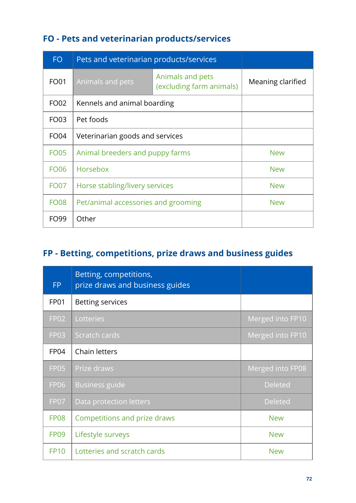## **FO - Pets and veterinarian products/services**

| <b>FO</b>        | Pets and veterinarian products/services |                                              |                   |
|------------------|-----------------------------------------|----------------------------------------------|-------------------|
| FO01             | Animals and pets                        | Animals and pets<br>(excluding farm animals) | Meaning clarified |
| FO02             | Kennels and animal boarding             |                                              |                   |
| FO03             | Pet foods                               |                                              |                   |
| FO <sub>04</sub> | Veterinarian goods and services         |                                              |                   |
| <b>FO05</b>      | Animal breeders and puppy farms         |                                              | <b>New</b>        |
| <b>FO06</b>      | Horsebox                                |                                              | <b>New</b>        |
| <b>FO07</b>      | Horse stabling/livery services          |                                              | <b>New</b>        |
| <b>FO08</b>      | Pet/animal accessories and grooming     |                                              | <b>New</b>        |
| FO99             | Other                                   |                                              |                   |

## **FP - Betting, competitions, prize draws and business guides**

| FP.              | Betting, competitions,<br>prize draws and business guides |                  |
|------------------|-----------------------------------------------------------|------------------|
| <b>FP01</b>      | <b>Betting services</b>                                   |                  |
| <b>FP02</b>      | Lotteries                                                 | Merged into FP10 |
| <b>FP03</b>      | Scratch cards                                             | Merged into FP10 |
| FP <sub>04</sub> | <b>Chain letters</b>                                      |                  |
| <b>FP05</b>      | Prize draws                                               | Merged into FP08 |
| <b>FP06</b>      | <b>Business guide</b>                                     | <b>Deleted</b>   |
| FP07             | Data protection letters                                   | <b>Deleted</b>   |
| <b>FP08</b>      | <b>Competitions and prize draws</b>                       | <b>New</b>       |
| FP <sub>09</sub> | Lifestyle surveys                                         | <b>New</b>       |
| <b>FP10</b>      | Lotteries and scratch cards                               | <b>New</b>       |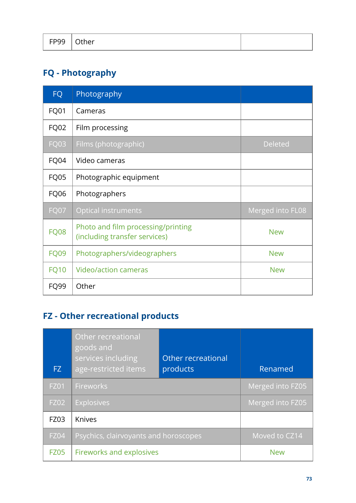| EPQQ<br>. . <i>. .</i> | $\sim$ .<br>)ther |  |
|------------------------|-------------------|--|
|------------------------|-------------------|--|

#### **FQ - Photography**

| <b>FQ</b>   | Photography                                                         |                  |
|-------------|---------------------------------------------------------------------|------------------|
| FQ01        | Cameras                                                             |                  |
| FQ02        | Film processing                                                     |                  |
| <b>FQ03</b> | Films (photographic)                                                | <b>Deleted</b>   |
| FQ04        | Video cameras                                                       |                  |
| <b>FQ05</b> | Photographic equipment                                              |                  |
| <b>FQ06</b> | Photographers                                                       |                  |
| <b>FQ07</b> | <b>Optical instruments</b>                                          | Merged into FL08 |
| <b>FQ08</b> | Photo and film processing/printing<br>(including transfer services) | <b>New</b>       |
| <b>FQ09</b> | Photographers/videographers                                         | <b>New</b>       |
| <b>FQ10</b> | Video/action cameras                                                | <b>New</b>       |
| FQ99        | Other                                                               |                  |

# **FZ - Other recreational products**

| FZ.         | Other recreational<br>goods and<br>services including<br>age-restricted items | Other recreational<br>products | Renamed          |
|-------------|-------------------------------------------------------------------------------|--------------------------------|------------------|
| <b>FZ01</b> | Fireworks                                                                     |                                | Merged into FZ05 |
| <b>FZ02</b> | <b>Explosives</b>                                                             |                                | Merged into FZ05 |
| <b>FZ03</b> | Knives                                                                        |                                |                  |
| <b>FZ04</b> | Psychics, clairvoyants and horoscopes                                         |                                | Moved to CZ14    |
| <b>FZ05</b> | Fireworks and explosives                                                      |                                | <b>New</b>       |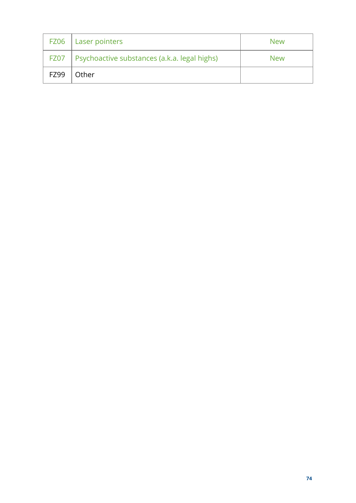|             | FZ06   Laser pointers                                    | <b>New</b> |
|-------------|----------------------------------------------------------|------------|
|             | <b>FZ07</b> Psychoactive substances (a.k.a. legal highs) | <b>New</b> |
| <b>FZ99</b> | Other                                                    |            |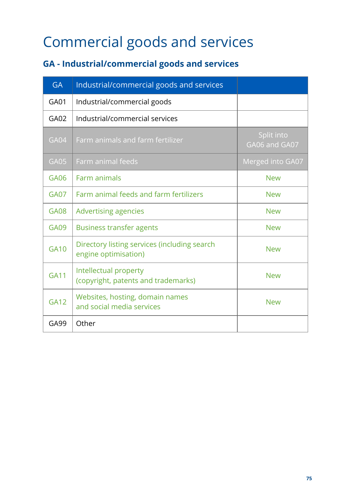# Commercial goods and services

### **GA - Industrial/commercial goods and services**

| <b>GA</b>   | Industrial/commercial goods and services                             |                             |
|-------------|----------------------------------------------------------------------|-----------------------------|
| <b>GA01</b> | Industrial/commercial goods                                          |                             |
| GA02        | Industrial/commercial services                                       |                             |
| GA04        | Farm animals and farm fertilizer                                     | Split into<br>GA06 and GA07 |
| <b>GA05</b> | Farm animal feeds                                                    | Merged into GA07            |
| <b>GA06</b> | Farm animals                                                         | <b>New</b>                  |
| <b>GA07</b> | Farm animal feeds and farm fertilizers                               | <b>New</b>                  |
| <b>GA08</b> | Advertising agencies                                                 | <b>New</b>                  |
| <b>GA09</b> | <b>Business transfer agents</b>                                      | <b>New</b>                  |
| <b>GA10</b> | Directory listing services (including search<br>engine optimisation) | <b>New</b>                  |
| <b>GA11</b> | Intellectual property<br>(copyright, patents and trademarks)         | <b>New</b>                  |
| <b>GA12</b> | Websites, hosting, domain names<br>and social media services         | <b>New</b>                  |
| GA99        | Other                                                                |                             |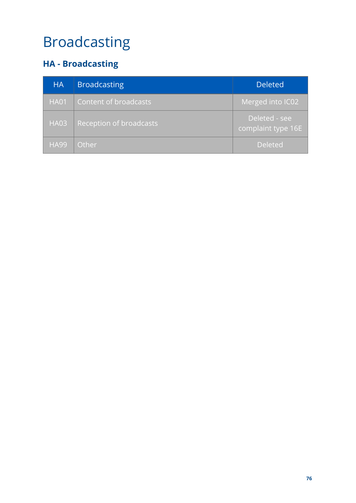# Broadcasting

# **HA - Broadcasting**

| <b>HA</b>   | <b>Broadcasting</b>     | <b>Deleted</b>                      |
|-------------|-------------------------|-------------------------------------|
| <b>HA01</b> | Content of broadcasts   | Merged into IC02                    |
| <b>HA03</b> | Reception of broadcasts | Deleted - see<br>complaint type 16E |
| <b>HA99</b> | Other                   | <b>Deleted</b>                      |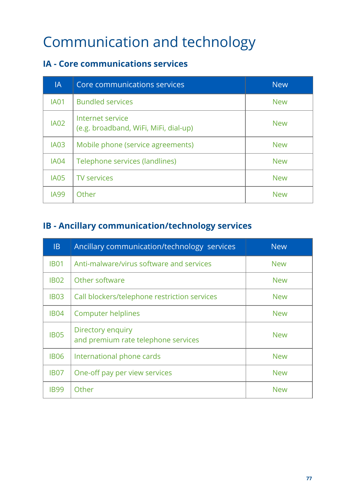# Communication and technology

### **IA - Core communications services**

| IA          | Core communications services                              | <b>New</b> |
|-------------|-----------------------------------------------------------|------------|
| <b>IA01</b> | <b>Bundled services</b>                                   | <b>New</b> |
| <b>IA02</b> | Internet service<br>(e.g. broadband, WiFi, MiFi, dial-up) | <b>New</b> |
| <b>IA03</b> | Mobile phone (service agreements)                         | <b>New</b> |
| <b>IA04</b> | Telephone services (landlines)                            | <b>New</b> |
| <b>IA05</b> | <b>TV services</b>                                        | <b>New</b> |
| <b>IA99</b> | Other                                                     | <b>New</b> |

#### **IB - Ancillary communication/technology services**

| B           | Ancillary communication/technology services              | <b>New</b> |
|-------------|----------------------------------------------------------|------------|
| <b>IB01</b> | Anti-malware/virus software and services                 | <b>New</b> |
| <b>IB02</b> | Other software                                           | <b>New</b> |
| <b>IB03</b> | Call blockers/telephone restriction services             | <b>New</b> |
| <b>IB04</b> | <b>Computer helplines</b>                                | <b>New</b> |
| <b>IB05</b> | Directory enquiry<br>and premium rate telephone services | <b>New</b> |
| <b>IB06</b> | International phone cards                                | <b>New</b> |
| <b>IB07</b> | One-off pay per view services                            | <b>New</b> |
| <b>IB99</b> | Other                                                    | <b>New</b> |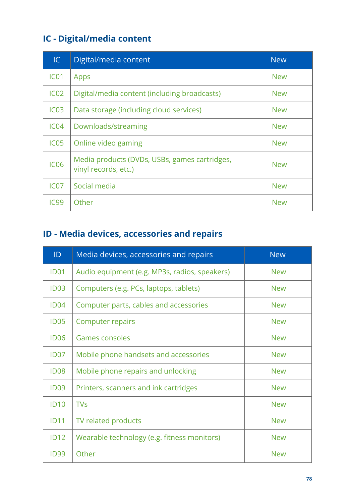# **IC - Digital/media content**

| IC               | Digital/media content                                                 | <b>New</b> |
|------------------|-----------------------------------------------------------------------|------------|
| IC <sub>01</sub> | Apps                                                                  | <b>New</b> |
| IC <sub>02</sub> | Digital/media content (including broadcasts)                          | <b>New</b> |
| IC <sub>03</sub> | Data storage (including cloud services)                               | <b>New</b> |
| IC04             | Downloads/streaming                                                   | <b>New</b> |
| IC <sub>05</sub> | Online video gaming                                                   | <b>New</b> |
| IC <sub>06</sub> | Media products (DVDs, USBs, games cartridges,<br>vinyl records, etc.) | <b>New</b> |
| IC <sub>07</sub> | Social media                                                          | <b>New</b> |
| <b>IC99</b>      | Other                                                                 | <b>New</b> |

#### **ID - Media devices, accessories and repairs**

| ID               | Media devices, accessories and repairs        | <b>New</b> |
|------------------|-----------------------------------------------|------------|
| <b>ID01</b>      | Audio equipment (e.g. MP3s, radios, speakers) | <b>New</b> |
| ID <sub>03</sub> | Computers (e.g. PCs, laptops, tablets)        | <b>New</b> |
| <b>ID04</b>      | Computer parts, cables and accessories        | <b>New</b> |
| <b>ID05</b>      | <b>Computer repairs</b>                       | <b>New</b> |
| <b>ID06</b>      | Games consoles                                | <b>New</b> |
| ID <sub>07</sub> | Mobile phone handsets and accessories         | <b>New</b> |
| <b>ID08</b>      | Mobile phone repairs and unlocking            | <b>New</b> |
| <b>ID09</b>      | Printers, scanners and ink cartridges         | <b>New</b> |
| <b>ID10</b>      | <b>TVs</b>                                    | <b>New</b> |
| <b>ID11</b>      | TV related products                           | <b>New</b> |
| <b>ID12</b>      | Wearable technology (e.g. fitness monitors)   | <b>New</b> |
| <b>ID99</b>      | Other                                         | <b>New</b> |